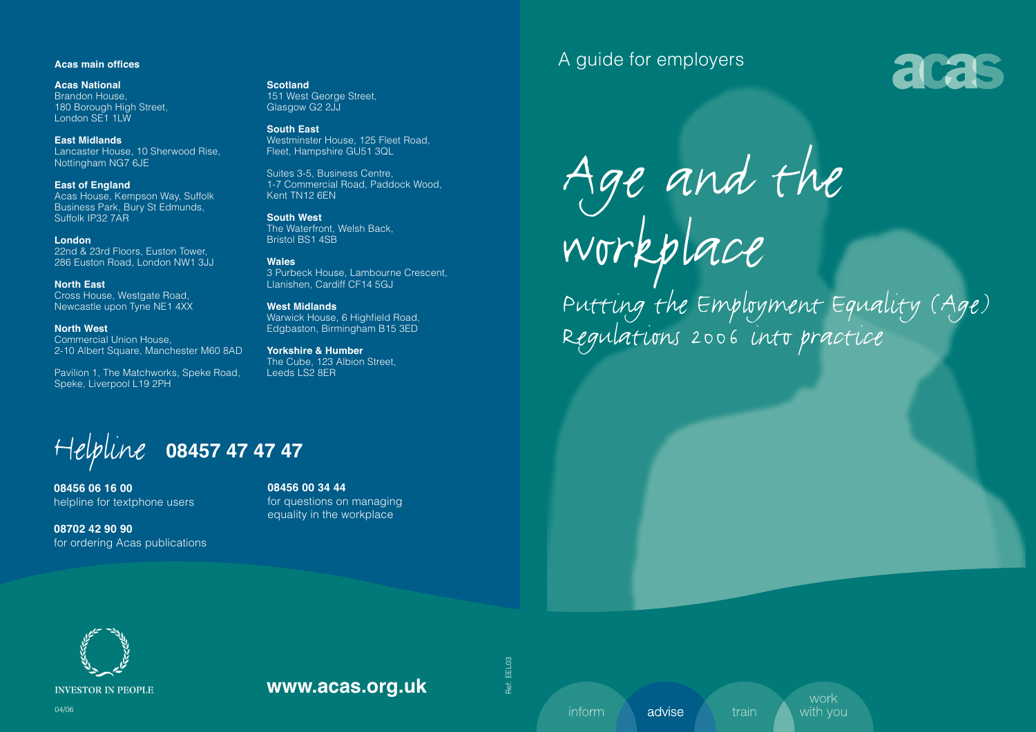#### **Acas main offices**

**Acas National**Brandon House, 180 Borough High Street. London SE1 1LW

**East Midlands** Lancaster House, 10 Sherwood Rise, Nottingham NG7 6JE

### **East of England** Acas House, Kempson Way, Suffolk

Business Park, Bury St Edmunds, Suffolk IP32 7AR

**London**22nd & 23rd Floors, Euston Tower, 286 Euston Road, London NW1 3JJ

#### **North East**Cross House, Westgate Road, Newcastle upon Tyne NE1 4XX

#### **North West**

Commercial Union House, 2-10 Albert Square, Manchester M60 8AD

Pavilion 1, The Matchworks, Speke Road, Speke, Liverpool L19 2PH

**Scotland** 151 West George Street, Glasgow G2 2JJ

#### **South East**

Westminster House, 125 Fleet Road, Fleet, Hampshire GU51 3QL

Suites 3-5, Business Centre, 1-7 Commercial Road, Paddock Wood, Kent TN12 6EN

#### **South West** The Waterfront, Welsh Back, Bristol BS1 4SB

**Wales**3 Purbeck House, Lambourne Crescent, Llanishen, Cardiff CF14 5GJ

#### **West Midlands**Warwick House, 6 Highfield Road Edgbaston, Birmingham B15 3ED

**Yorkshire & Humber**The Cube, 123 Albion Street Leeds LS2 8ER



**08456 06 16 00**helpline for textphone users

**08702 42 90 90**for ordering Acas publications

**08456 00 34 44** for questions on managing equality in the workplace

A guide for employers



Age and the<br>workplace

Putting the Employment Equality (Age)<br>Regulations 2006 into practice



EEL<sub>03</sub> Ref: EEL03

work

with you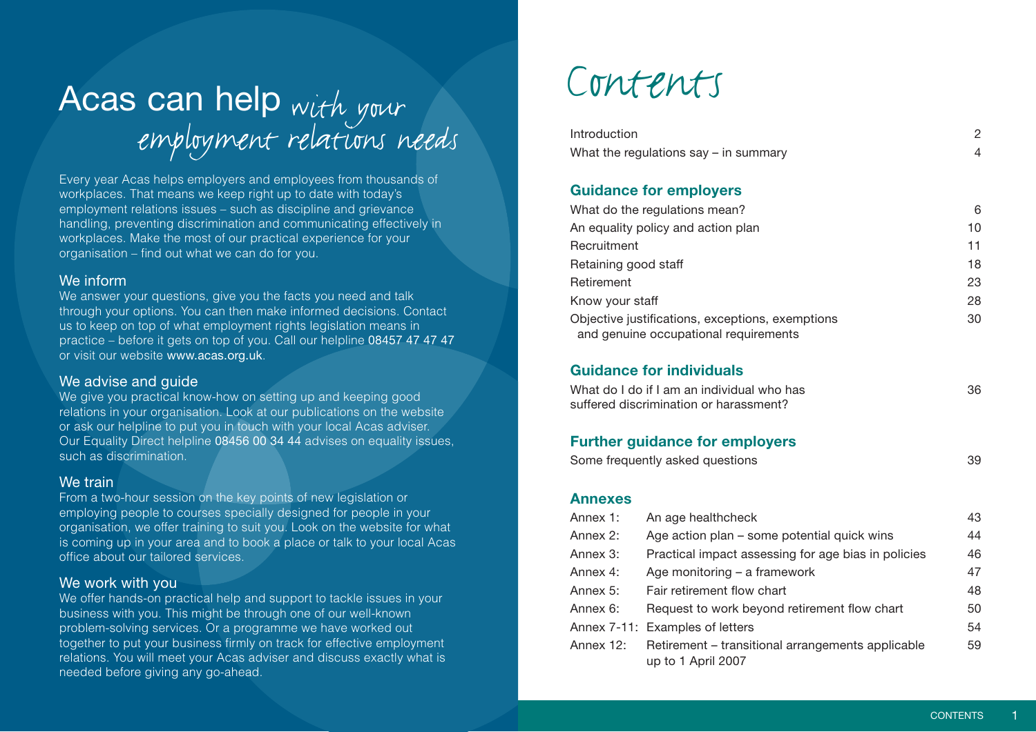# Can help with your<br>employment relations needs Acas can help with your Contents

Every year Acas helps employers and employees from thousands of workplaces. That means we keep right up to date with today's employment relations issues – such as discipline and grievance handling, preventing discrimination and communicating effectively in workplaces. Make the most of our practical experience for your organisation  $-$  find out what we can do for you.

#### We inform

We answer your questions, give you the facts you need and talk through your options. You can then make informed decisions. Contact us to keep on top of what employment rights legislation means in practice – before it gets on top of you. Call our helpline 08457 47 47 47 or visit our website www.acas.org.uk.

#### We advise and guide

We give you practical know-how on setting up and keeping good relations in your organisation. Look at our publications on the website or ask our helpline to put you in touch with your local Acas adviser. Our Equality Direct helpline 08456 00 34 44 advises on equality issues, such as discrimination.

#### We train

From a two-hour session on the key points of new legislation or employing people to courses specially designed for people in your organisation, we offer training to suit you. Look on the website for what is coming up in your area and to book a place or talk to your local Acas office about our tailored services.

#### We work with you

We offer hands-on practical help and support to tackle issues in your business with you. This might be through one of our well-known problem-solving services. Or a programme we have worked out together to put your business firmly on track for effective employment relations. You will meet your Acas adviser and discuss exactly what is needed before giving any go-ahead.

| Introduction                          |  |
|---------------------------------------|--|
| What the regulations say – in summary |  |

#### **Guidance for employers**

| What do the regulations mean?                                                             | 6  |
|-------------------------------------------------------------------------------------------|----|
| An equality policy and action plan                                                        | 10 |
| Recruitment                                                                               | 11 |
| Retaining good staff                                                                      | 18 |
| Retirement                                                                                | 23 |
| Know your staff                                                                           | 28 |
| Objective justifications, exceptions, exemptions<br>and genuine occupational requirements | 30 |

#### **Guidance for individuals**

| What do I do if I am an individual who has | 36 |
|--------------------------------------------|----|
| suffered discrimination or harassment?     |    |

#### **Further guidance for employers**

#### **Annexes**

| Annex 1:  | An age healthcheck                                                      | 43 |
|-----------|-------------------------------------------------------------------------|----|
| Annex 2:  | Age action plan – some potential quick wins                             | 44 |
| Annex 3:  | Practical impact assessing for age bias in policies                     | 46 |
| Annex 4:  | Age monitoring - a framework                                            | 47 |
| Annex 5:  | Fair retirement flow chart                                              | 48 |
| Annex 6:  | Request to work beyond retirement flow chart                            | 50 |
|           | Annex 7-11: Examples of letters                                         | 54 |
| Annex 12: | Retirement - transitional arrangements applicable<br>up to 1 April 2007 | 59 |

1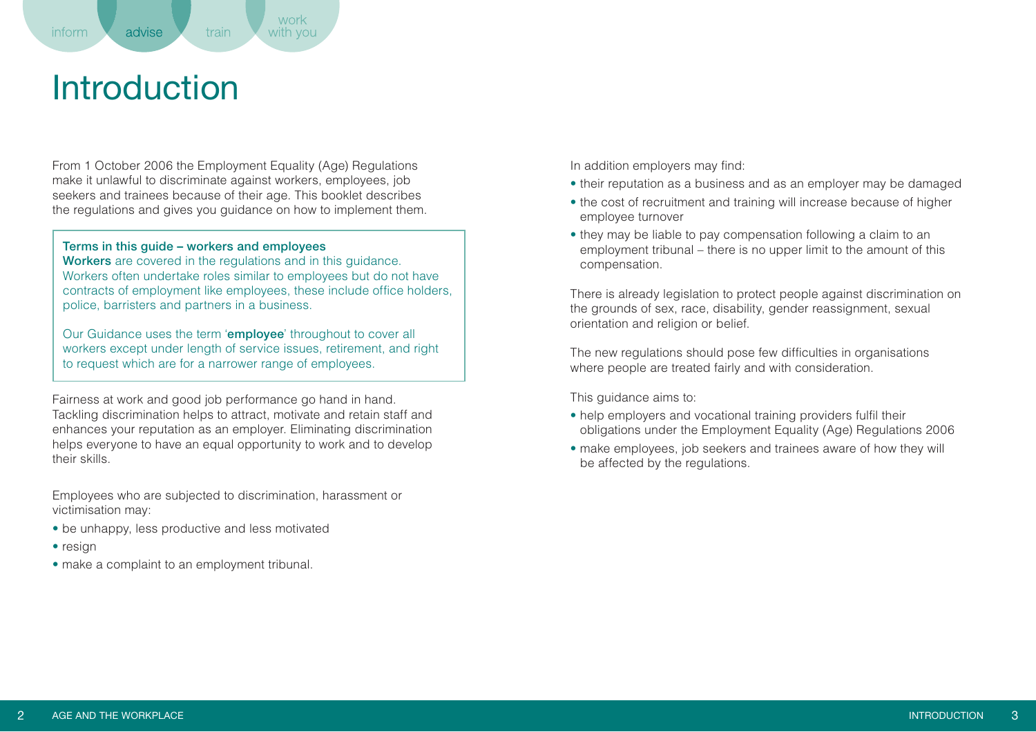# Introduction

From 1 October 2006 the Employment Equality (Age) Regulations make it unlawful to discriminate against workers, employees, job seekers and trainees because of their age. This booklet describes the regulations and gives you guidance on how to implement them.

#### **Terms in this guide – workers and employees**

**Workers** are covered in the regulations and in this guidance. Workers often undertake roles similar to employees but do not have contracts of employment like employees, these include office holders, police, barristers and partners in a business.

Our Guidance uses the term '**employee**' throughout to cover all workers except under length of service issues, retirement, and right to request which are for a narrower range of employees.

Fairness at work and good job performance go hand in hand. Tackling discrimination helps to attract, motivate and retain staff and enhances your reputation as an employer. Eliminating discrimination helps everyone to have an equal opportunity to work and to develop their skills.

Employees who are subjected to discrimination, harassment or victimisation may:

- be unhappy, less productive and less motivated
- resign
- make a complaint to an employment tribunal.

In addition employers may find:

- their reputation as a business and as an employer may be damaged
- the cost of recruitment and training will increase because of higher employee turnover
- they may be liable to pay compensation following a claim to an employment tribunal – there is no upper limit to the amount of this compensation.

There is already legislation to protect people against discrimination on the grounds of sex, race, disability, gender reassignment, sexual orientation and religion or belief.

The new regulations should pose few difficulties in organisations where people are treated fairly and with consideration.

This guidance aims to:

- help employers and vocational training providers fulfil their obligations under the Employment Equality (Age) Regulations 2006
- make employees, job seekers and trainees aware of how they will be affected by the regulations.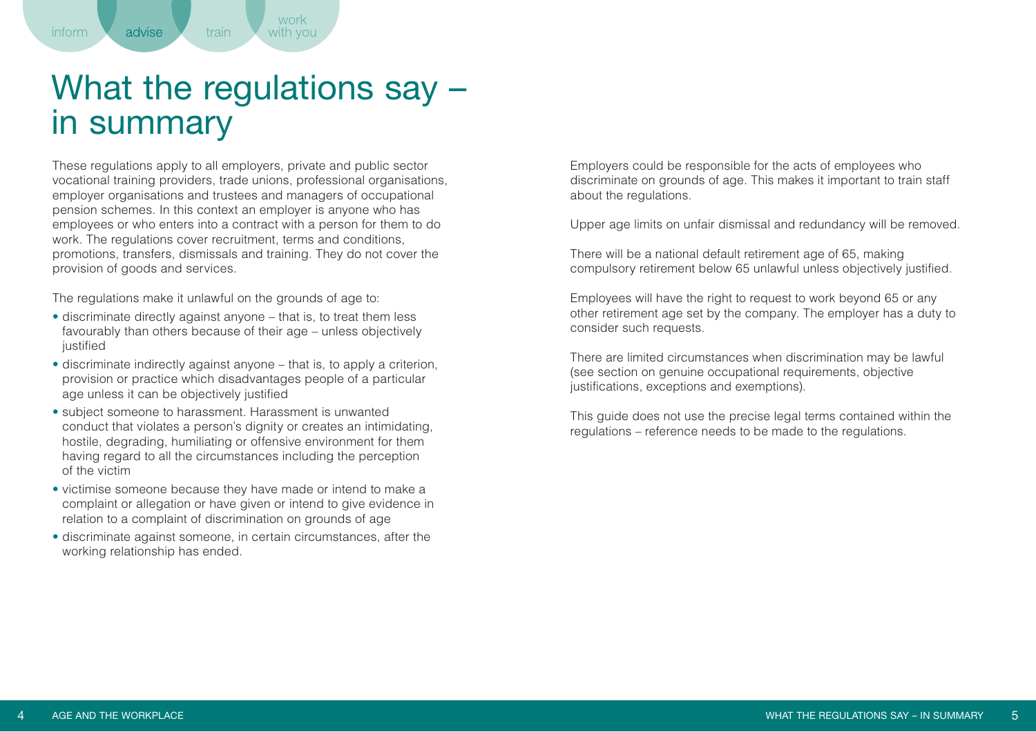work with you

# What the regulations say – in summary

train

These regulations apply to all employers, private and public sector vocational training providers, trade unions, professional organisations, employer organisations and trustees and managers of occupational pension schemes. In this context an employer is anyone who has employees or who enters into a contract with a person for them to do work. The regulations cover recruitment, terms and conditions, promotions, transfers, dismissals and training. They do not cover the provision of goods and services.

The regulations make it unlawful on the grounds of age to:

- discriminate directly against anyone that is, to treat them less favourably than others because of their age – unless objectively justified
- discriminate indirectly against anyone that is, to apply a criterion, provision or practice which disadvantages people of a particular age unless it can be objectively justified
- subject someone to harassment. Harassment is unwanted conduct that violates a person's dignity or creates an intimidating, hostile, degrading, humiliating or offensive environment for them having regard to all the circumstances including the perception of the victim
- victimise someone because they have made or intend to make a complaint or allegation or have given or intend to give evidence in relation to a complaint of discrimination on grounds of age
- discriminate against someone, in certain circumstances, after the working relationship has ended.

Employers could be responsible for the acts of employees who discriminate on grounds of age. This makes it important to train staff about the regulations.

Upper age limits on unfair dismissal and redundancy will be removed.

There will be a national default retirement age of 65, making compulsory retirement below 65 unlawful unless objectively justified.

Employees will have the right to request to work beyond 65 or any other retirement age set by the company. The employer has a duty to consider such requests.

There are limited circumstances when discrimination may be lawful (see section on genuine occupational requirements, objective justifications, exceptions and exemptions).

This guide does not use the precise legal terms contained within the regulations – reference needs to be made to the regulations.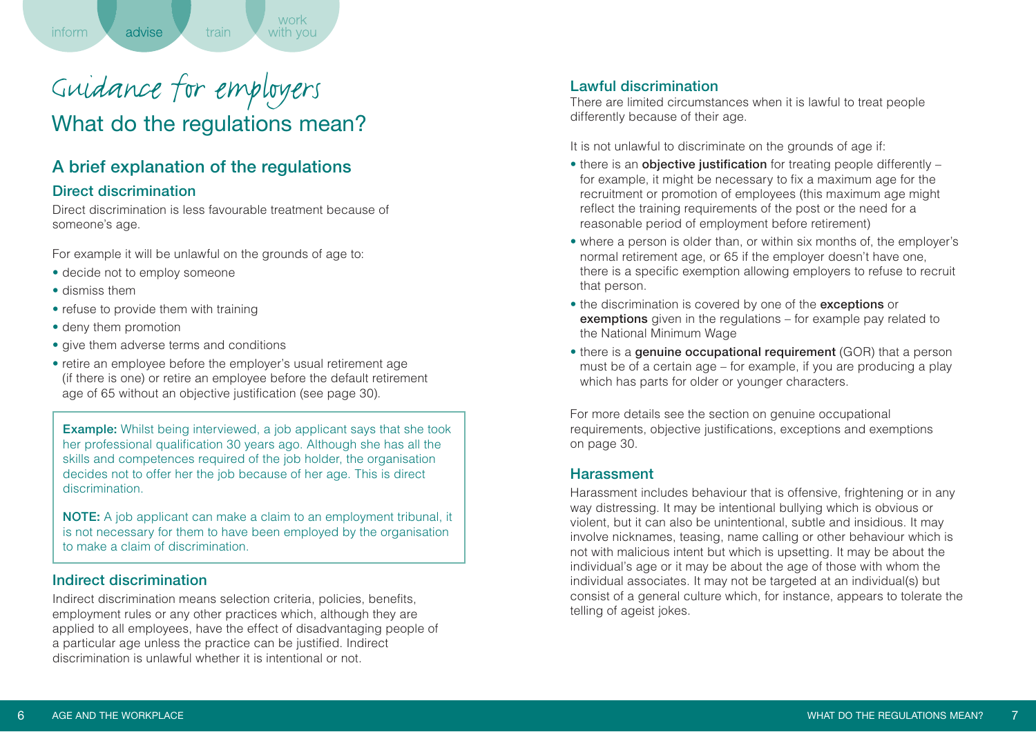### Guidance for employers What do the regulations mean?

### **A brief explanation of the regulations**

#### **Direct discrimination**

Direct discrimination is less favourable treatment because of someone's age.

For example it will be unlawful on the grounds of age to:

- decide not to employ someone
- dismiss them
- refuse to provide them with training
- deny them promotion
- give them adverse terms and conditions
- retire an employee before the employer's usual retirement age (if there is one) or retire an employee before the default retirement age of 65 without an objective justification (see page 30).

**Example:** Whilst being interviewed, a job applicant says that she took her professional qualification 30 years ago. Although she has all the skills and competences required of the job holder, the organisation decides not to offer her the job because of her age. This is direct discrimination.

**NOTE:** A job applicant can make a claim to an employment tribunal, it is not necessary for them to have been employed by the organisation to make a claim of discrimination.

#### **Indirect discrimination**

Indirect discrimination means selection criteria, policies, benefits, employment rules or any other practices which, although they are applied to all employees, have the effect of disadvantaging people of a particular age unless the practice can be justified. Indirect discrimination is unlawful whether it is intentional or not.

#### **Lawful discrimination**

There are limited circumstances when it is lawful to treat people differently because of their age.

It is not unlawful to discriminate on the grounds of age if:

- there is an **objective justification** for treating people differently for example, it might be necessary to fix a maximum age for the recruitment or promotion of employees (this maximum age might reflect the training requirements of the post or the need for a reasonable period of employment before retirement)
- where a person is older than, or within six months of, the employer's normal retirement age, or 65 if the employer doesn't have one, there is a specific exemption allowing employers to refuse to recruit that person.
- the discrimination is covered by one of the **exceptions** or **exemptions** given in the regulations – for example pay related to the National Minimum Wage
- there is a **genuine occupational requirement** (GOR) that a person must be of a certain age – for example, if you are producing a play which has parts for older or younger characters.

For more details see the section on genuine occupational requirements, objective justifications, exceptions and exemptions on page 30.

#### **Harassment**

Harassment includes behaviour that is offensive, frightening or in any way distressing. It may be intentional bullying which is obvious or violent, but it can also be unintentional, subtle and insidious. It may involve nicknames, teasing, name calling or other behaviour which is not with malicious intent but which is upsetting. It may be about the individual's age or it may be about the age of those with whom the individual associates. It may not be targeted at an individual(s) but consist of a general culture which, for instance, appears to tolerate the telling of ageist jokes.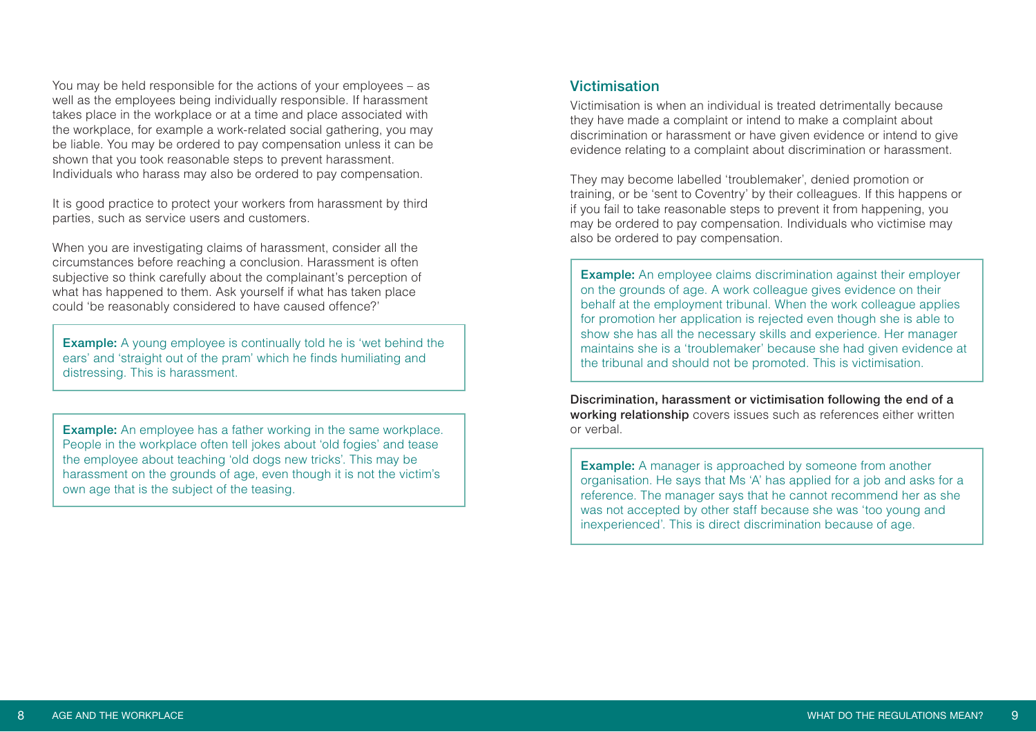You may be held responsible for the actions of your employees – as well as the employees being individually responsible. If harassment takes place in the workplace or at a time and place associated with the workplace, for example a work-related social gathering, you may be liable. You may be ordered to pay compensation unless it can be shown that you took reasonable steps to prevent harassment. Individuals who harass may also be ordered to pay compensation.

It is good practice to protect your workers from harassment by third parties, such as service users and customers.

When you are investigating claims of harassment, consider all the circumstances before reaching a conclusion. Harassment is often subjective so think carefully about the complainant's perception of what has happened to them. Ask yourself if what has taken place could 'be reasonably considered to have caused offence?'

**Example:** A young employee is continually told he is 'wet behind the ears' and 'straight out of the pram' which he finds humiliating and distressing. This is harassment.

**Example:** An employee has a father working in the same workplace. People in the workplace often tell jokes about 'old fogies' and tease the employee about teaching 'old dogs new tricks'. This may be harassment on the grounds of age, even though it is not the victim's own age that is the subject of the teasing.

#### **Victimisation**

Victimisation is when an individual is treated detrimentally because they have made a complaint or intend to make a complaint about discrimination or harassment or have given evidence or intend to give evidence relating to a complaint about discrimination or harassment.

They may become labelled 'troublemaker', denied promotion or training, or be 'sent to Coventry' by their colleagues. If this happens or if you fail to take reasonable steps to prevent it from happening, you may be ordered to pay compensation. Individuals who victimise may also be ordered to pay compensation.

**Example:** An employee claims discrimination against their employer on the grounds of age. A work colleague gives evidence on their behalf at the employment tribunal. When the work colleague applies for promotion her application is rejected even though she is able to show she has all the necessary skills and experience. Her manager maintains she is a 'troublemaker' because she had given evidence at the tribunal and should not be promoted. This is victimisation.

**Discrimination, harassment or victimisation following the end of a working relationship** covers issues such as references either written or verbal.

**Example:** A manager is approached by someone from another organisation. He says that Ms 'A' has applied for a job and asks for a reference. The manager says that he cannot recommend her as she was not accepted by other staff because she was 'too young and inexperienced'. This is direct discrimination because of age.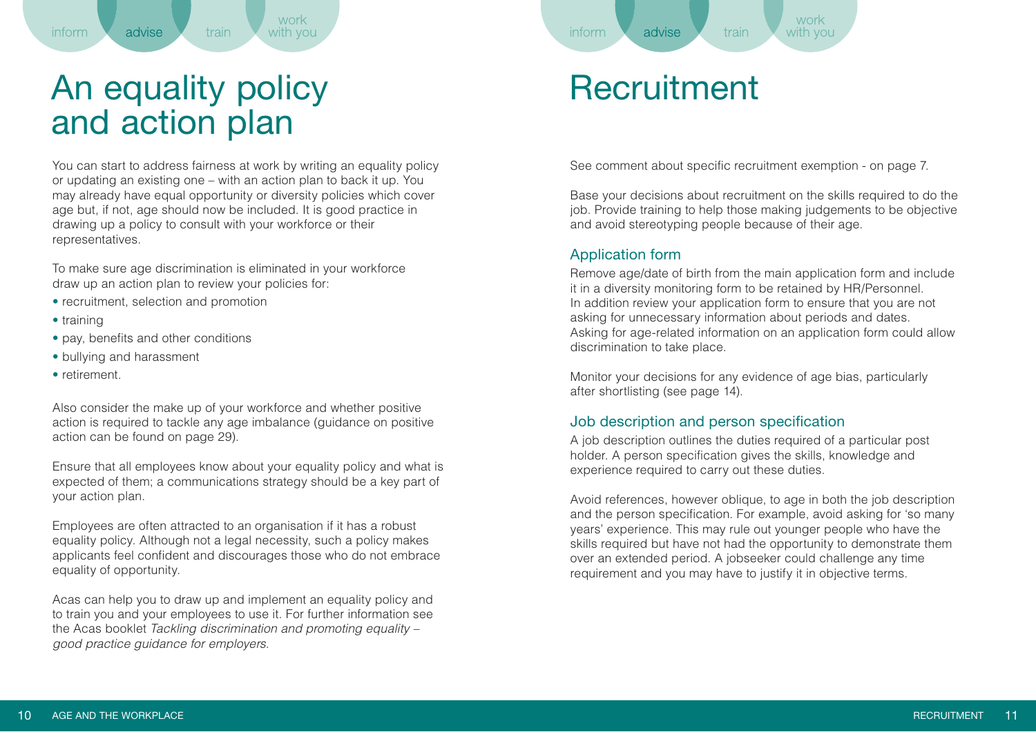# An equality policy and action plan

train

You can start to address fairness at work by writing an equality policy or updating an existing one – with an action plan to back it up. You may already have equal opportunity or diversity policies which cover age but, if not, age should now be included. It is good practice in drawing up a policy to consult with your workforce or their representatives.

To make sure age discrimination is eliminated in your workforce draw up an action plan to review your policies for:

- recruitment, selection and promotion
- training
- pay, benefits and other conditions
- bullying and harassment
- retirement.

Also consider the make up of your workforce and whether positive action is required to tackle any age imbalance (guidance on positive action can be found on page 29).

Ensure that all employees know about your equality policy and what is expected of them; a communications strategy should be a key part of your action plan.

Employees are often attracted to an organisation if it has a robust equality policy. Although not a legal necessity, such a policy makes applicants feel confident and discourages those who do not embrace equality of opportunity.

Acas can help you to draw up and implement an equality policy and to train you and your employees to use it. For further information see the Acas booklet *Tackling discrimination and promoting equality – good practice guidance for employers*.

# **Recruitment**

advise

*inform* 

See comment about specific recruitment exemption - on page 7.

train

Base your decisions about recruitment on the skills required to do the job. Provide training to help those making judgements to be objective and avoid stereotyping people because of their age.

work

with you

#### Application form

Remove age/date of birth from the main application form and include it in a diversity monitoring form to be retained by HR/Personnel. In addition review your application form to ensure that you are not asking for unnecessary information about periods and dates. Asking for age-related information on an application form could allow discrimination to take place.

Monitor your decisions for any evidence of age bias, particularly after shortlisting (see page 14).

#### Job description and person specification

A job description outlines the duties required of a particular post holder. A person specification gives the skills, knowledge and experience required to carry out these duties.

Avoid references, however oblique, to age in both the job description and the person specification. For example, avoid asking for 'so many years' experience. This may rule out younger people who have the skills required but have not had the opportunity to demonstrate them over an extended period. A jobseeker could challenge any time requirement and you may have to justify it in objective terms.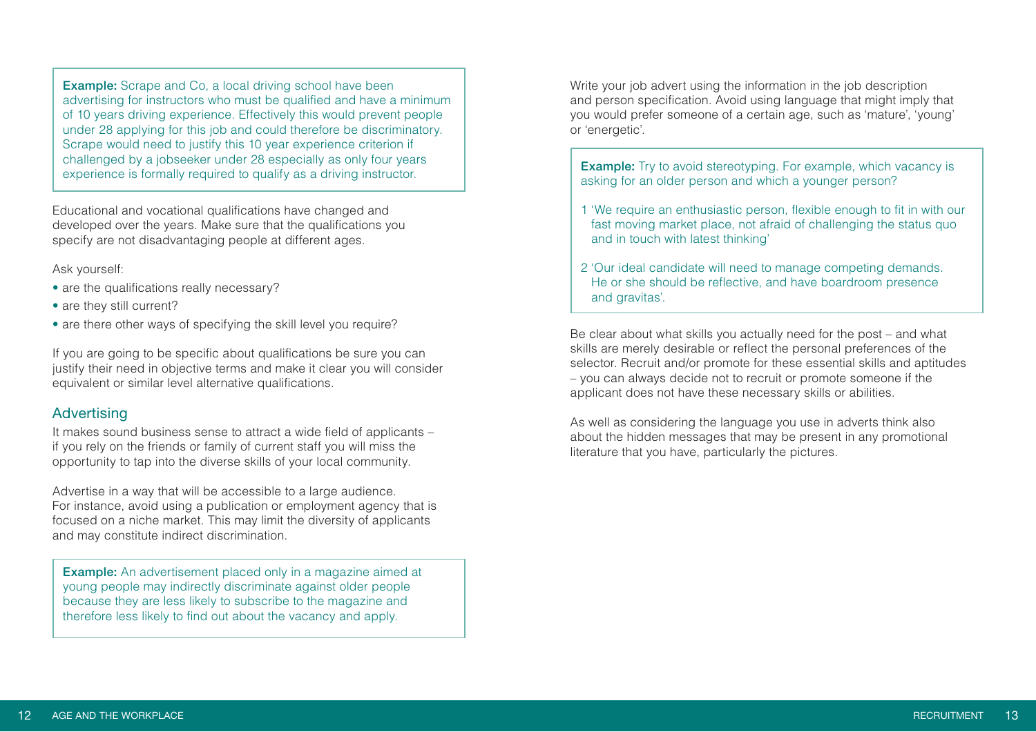**Example:** Scrape and Co, a local driving school have been advertising for instructors who must be qualified and have a minimum of 10 years driving experience. Effectively this would prevent people under 28 applying for this job and could therefore be discriminatory. Scrape would need to justify this 10 year experience criterion if challenged by a jobseeker under 28 especially as only four years experience is formally required to qualify as a driving instructor.

Educational and vocational qualifications have changed and developed over the years. Make sure that the qualifications you specify are not disadvantaging people at different ages.

Ask yourself:

- are the qualifications really necessary?
- are they still current?
- are there other ways of specifying the skill level you require?

If you are going to be specific about qualifications be sure you can justify their need in objective terms and make it clear you will consider equivalent or similar level alternative qualifications.

#### **Advertising**

It makes sound business sense to attract a wide field of applicants – if you rely on the friends or family of current staff you will miss the opportunity to tap into the diverse skills of your local community.

Advertise in a way that will be accessible to a large audience. For instance, avoid using a publication or employment agency that is focused on a niche market. This may limit the diversity of applicants and may constitute indirect discrimination.

**Example:** An advertisement placed only in a magazine aimed at young people may indirectly discriminate against older people because they are less likely to subscribe to the magazine and therefore less likely to find out about the vacancy and apply.

Write your job advert using the information in the job description and person specification. Avoid using language that might imply that you would prefer someone of a certain age, such as 'mature', 'young' or 'energetic'.

**Example:** Try to avoid stereotyping. For example, which vacancy is asking for an older person and which a younger person?

- 1 'We require an enthusiastic person, flexible enough to fit in with our fast moving market place, not afraid of challenging the status quo and in touch with latest thinking'
- 2 'Our ideal candidate will need to manage competing demands. He or she should be reflective, and have boardroom presence and gravitas'.

Be clear about what skills you actually need for the post – and what skills are merely desirable or reflect the personal preferences of the selector. Recruit and/or promote for these essential skills and aptitudes – you can always decide not to recruit or promote someone if the applicant does not have these necessary skills or abilities.

As well as considering the language you use in adverts think also about the hidden messages that may be present in any promotional literature that you have, particularly the pictures.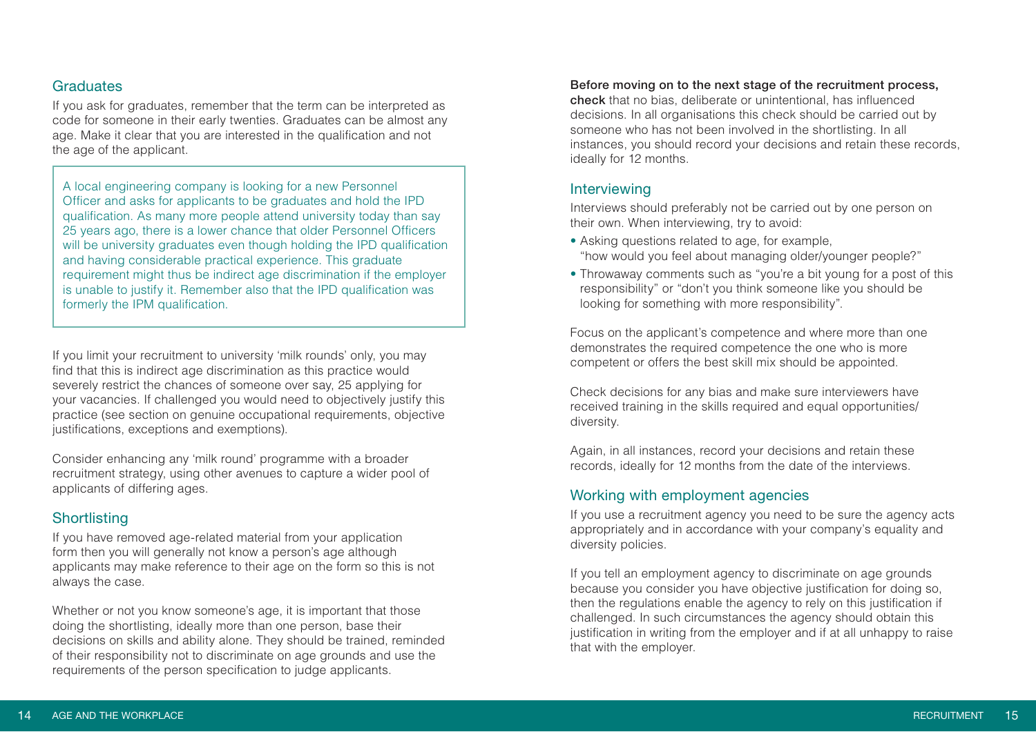#### **Graduates**

If you ask for graduates, remember that the term can be interpreted as code for someone in their early twenties. Graduates can be almost any age. Make it clear that you are interested in the qualification and not the age of the applicant.

A local engineering company is looking for a new Personnel Officer and asks for applicants to be graduates and hold the IPD qualification. As many more people attend university today than say 25 years ago, there is a lower chance that older Personnel Officers will be university graduates even though holding the IPD qualification and having considerable practical experience. This graduate requirement might thus be indirect age discrimination if the employer is unable to justify it. Remember also that the IPD qualification was formerly the IPM qualification.

If you limit your recruitment to university 'milk rounds' only, you may find that this is indirect age discrimination as this practice would severely restrict the chances of someone over say, 25 applying for your vacancies. If challenged you would need to objectively justify this practice (see section on genuine occupational requirements, objective justifications, exceptions and exemptions).

Consider enhancing any 'milk round' programme with a broader recruitment strategy, using other avenues to capture a wider pool of applicants of differing ages.

#### **Shortlisting**

If you have removed age-related material from your application form then you will generally not know a person's age although applicants may make reference to their age on the form so this is not always the case.

Whether or not you know someone's age, it is important that those doing the shortlisting, ideally more than one person, base their decisions on skills and ability alone. They should be trained, reminded of their responsibility not to discriminate on age grounds and use the requirements of the person specification to judge applicants.

#### **Before moving on to the next stage of the recruitment process,**

**check** that no bias, deliberate or unintentional, has influenced decisions. In all organisations this check should be carried out by someone who has not been involved in the shortlisting. In all instances, you should record your decisions and retain these records, ideally for 12 months.

#### **Interviewing**

Interviews should preferably not be carried out by one person on their own. When interviewing, try to avoid:

- Asking questions related to age, for example, "how would you feel about managing older/younger people?"
- Throwaway comments such as "you're a bit young for a post of this responsibility" or "don't you think someone like you should be looking for something with more responsibility".

Focus on the applicant's competence and where more than one demonstrates the required competence the one who is more competent or offers the best skill mix should be appointed.

Check decisions for any bias and make sure interviewers have received training in the skills required and equal opportunities/ diversity.

Again, in all instances, record your decisions and retain these records, ideally for 12 months from the date of the interviews.

#### Working with employment agencies

If you use a recruitment agency you need to be sure the agency acts appropriately and in accordance with your company's equality and diversity policies.

If you tell an employment agency to discriminate on age grounds because you consider you have objective justification for doing so, then the regulations enable the agency to rely on this justification if challenged. In such circumstances the agency should obtain this justification in writing from the employer and if at all unhappy to raise that with the employer.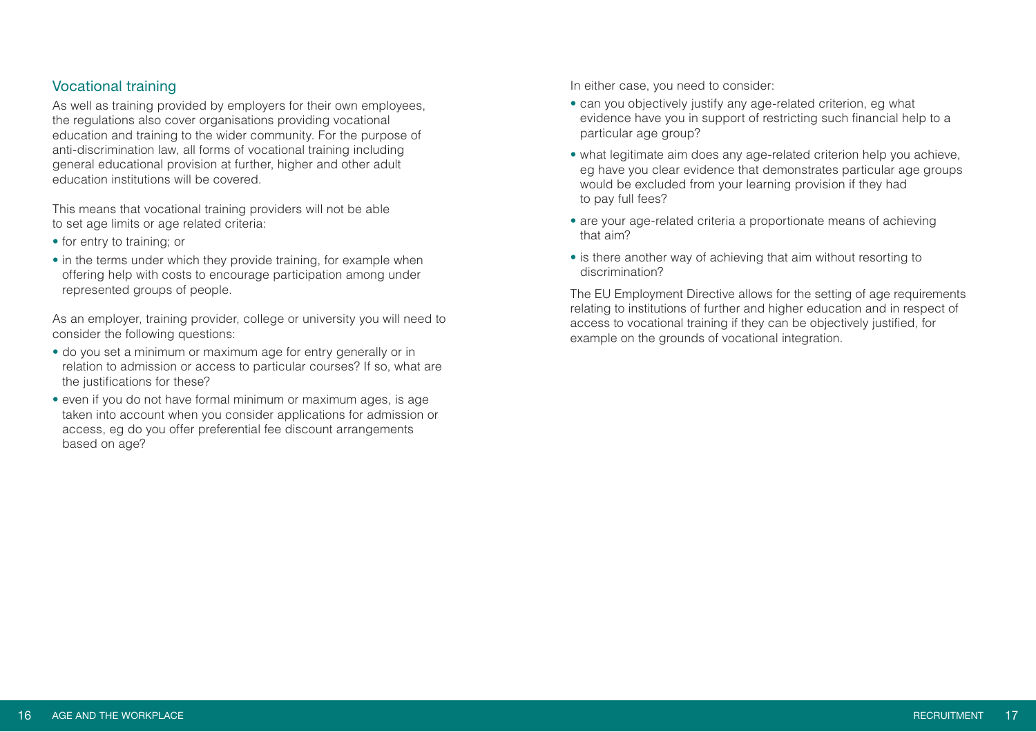#### Vocational training

As well as training provided by employers for their own employees, the regulations also cover organisations providing vocational education and training to the wider community. For the purpose of anti-discrimination law, all forms of vocational training including general educational provision at further, higher and other adult education institutions will be covered.

This means that vocational training providers will not be able to set age limits or age related criteria:

- for entry to training; or
- in the terms under which they provide training, for example when offering help with costs to encourage participation among under represented groups of people.

As an employer, training provider, college or university you will need to consider the following questions:

- do you set a minimum or maximum age for entry generally or in relation to admission or access to particular courses? If so, what are the justifications for these?
- even if you do not have formal minimum or maximum ages, is age taken into account when you consider applications for admission or access, eg do you offer preferential fee discount arrangements based on age?

In either case, you need to consider:

- can you objectively justify any age-related criterion, eg what evidence have you in support of restricting such financial help to a particular age group?
- what legitimate aim does any age-related criterion help you achieve, eg have you clear evidence that demonstrates particular age groups would be excluded from your learning provision if they had to pay full fees?
- are your age-related criteria a proportionate means of achieving that aim?
- is there another way of achieving that aim without resorting to discrimination?

The EU Employment Directive allows for the setting of age requirements relating to institutions of further and higher education and in respect of access to vocational training if they can be objectively justified, for example on the grounds of vocational integration.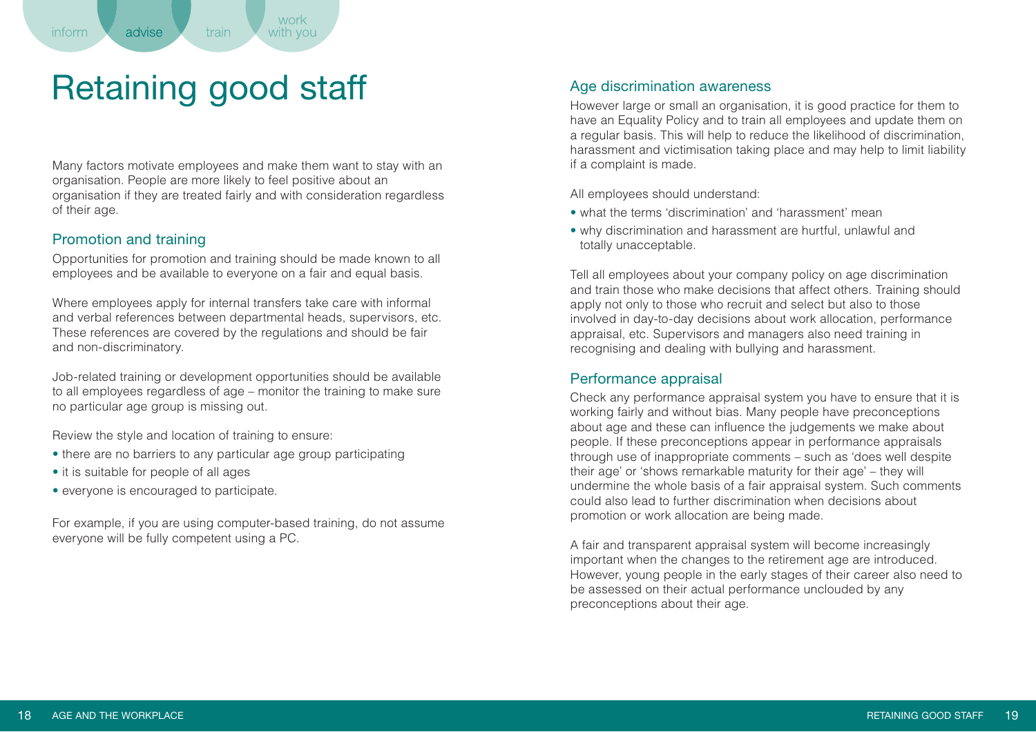# Retaining good staff Age discrimination awareness Age discrimination awareness Age discrimination awareness Age discrimination awareness Age also practice for them to

train

Many factors motivate employees and make them want to stay with an organisation. People are more likely to feel positive about an organisation if they are treated fairly and with consideration regardless of their age.

#### Promotion and training

Opportunities for promotion and training should be made known to all employees and be available to everyone on a fair and equal basis.

Where employees apply for internal transfers take care with informal and verbal references between departmental heads, supervisors, etc. These references are covered by the regulations and should be fair and non-discriminatory.

Job-related training or development opportunities should be available to all employees regardless of age – monitor the training to make sure no particular age group is missing out.

Review the style and location of training to ensure:

- there are no barriers to any particular age group participating
- it is suitable for people of all ages
- everyone is encouraged to participate.

For example, if you are using computer-based training, do not assume everyone will be fully competent using a PC.

have an Equality Policy and to train all employees and update them on a regular basis. This will help to reduce the likelihood of discrimination, harassment and victimisation taking place and may help to limit liability if a complaint is made.

All employees should understand:

- what the terms 'discrimination' and 'harassment' mean
- why discrimination and harassment are hurtful, unlawful and totally unacceptable.

Tell all employees about your company policy on age discrimination and train those who make decisions that affect others. Training should apply not only to those who recruit and select but also to those involved in day-to-day decisions about work allocation, performance appraisal, etc. Supervisors and managers also need training in recognising and dealing with bullying and harassment.

### Performance appraisal

Check any performance appraisal system you have to ensure that it is working fairly and without bias. Many people have preconceptions about age and these can influence the judgements we make about people. If these preconceptions appear in performance appraisals through use of inappropriate comments – such as 'does well despite their age' or 'shows remarkable maturity for their age' – they will undermine the whole basis of a fair appraisal system. Such comments could also lead to further discrimination when decisions about promotion or work allocation are being made.

A fair and transparent appraisal system will become increasingly important when the changes to the retirement age are introduced. However, young people in the early stages of their career also need to be assessed on their actual performance unclouded by any preconceptions about their age.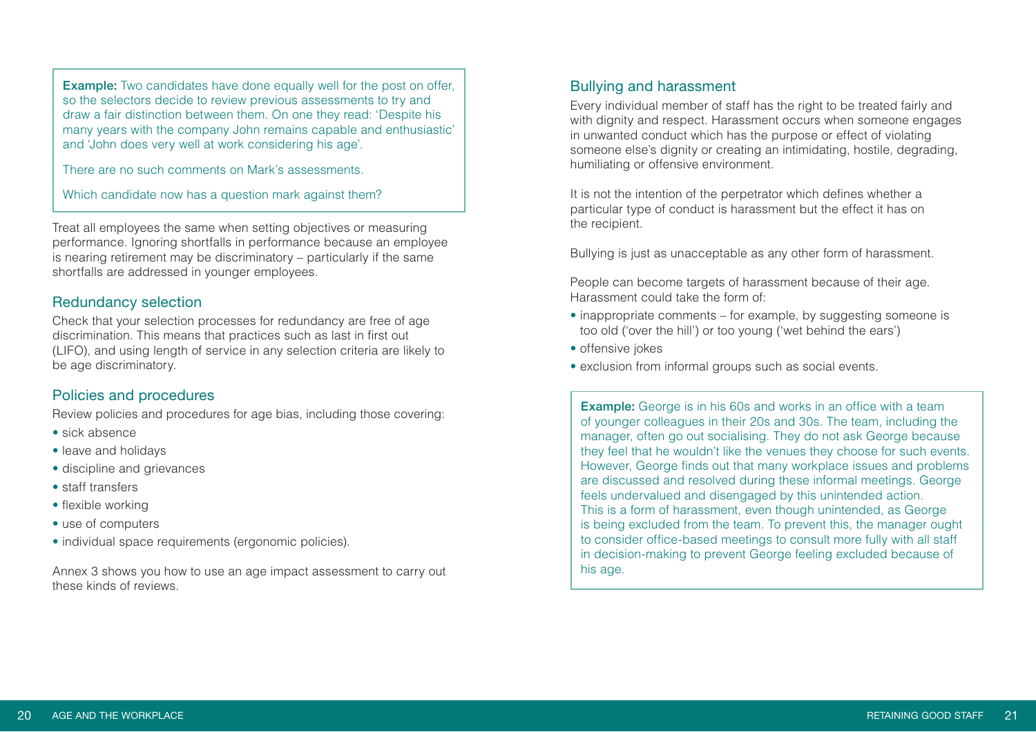**Example:** Two candidates have done equally well for the post on offer, so the selectors decide to review previous assessments to try and draw a fair distinction between them. On one they read: 'Despite his many years with the company John remains capable and enthusiastic' and 'John does very well at work considering his age'.

There are no such comments on Mark's assessments.

Which candidate now has a question mark against them?

Treat all employees the same when setting objectives or measuring performance. Ignoring shortfalls in performance because an employee is nearing retirement may be discriminatory – particularly if the same shortfalls are addressed in younger employees.

#### Redundancy selection

Check that your selection processes for redundancy are free of age discrimination. This means that practices such as last in first out (LIFO), and using length of service in any selection criteria are likely to be age discriminatory.

#### Policies and procedures

Review policies and procedures for age bias, including those covering:

- sick absence
- leave and holidays
- discipline and grievances
- staff transfers
- flexible working
- use of computers
- individual space requirements (ergonomic policies).

Annex 3 shows you how to use an age impact assessment to carry out these kinds of reviews.

#### Bullying and harassment

Every individual member of staff has the right to be treated fairly and with dignity and respect. Harassment occurs when someone engages in unwanted conduct which has the purpose or effect of violating someone else's dignity or creating an intimidating, hostile, degrading, humiliating or offensive environment.

It is not the intention of the perpetrator which defines whether a particular type of conduct is harassment but the effect it has on the recipient.

Bullying is just as unacceptable as any other form of harassment.

People can become targets of harassment because of their age. Harassment could take the form of:

- inappropriate comments for example, by suggesting someone is too old ('over the hill') or too young ('wet behind the ears')
- offensive jokes
- exclusion from informal groups such as social events.

**Example:** George is in his 60s and works in an office with a team of younger colleagues in their 20s and 30s. The team, including the manager, often go out socialising. They do not ask George because they feel that he wouldn't like the venues they choose for such events. However, George finds out that many workplace issues and problems are discussed and resolved during these informal meetings. George feels undervalued and disengaged by this unintended action. This is a form of harassment, even though unintended, as George is being excluded from the team. To prevent this, the manager ought to consider office-based meetings to consult more fully with all staff in decision-making to prevent George feeling excluded because of his age.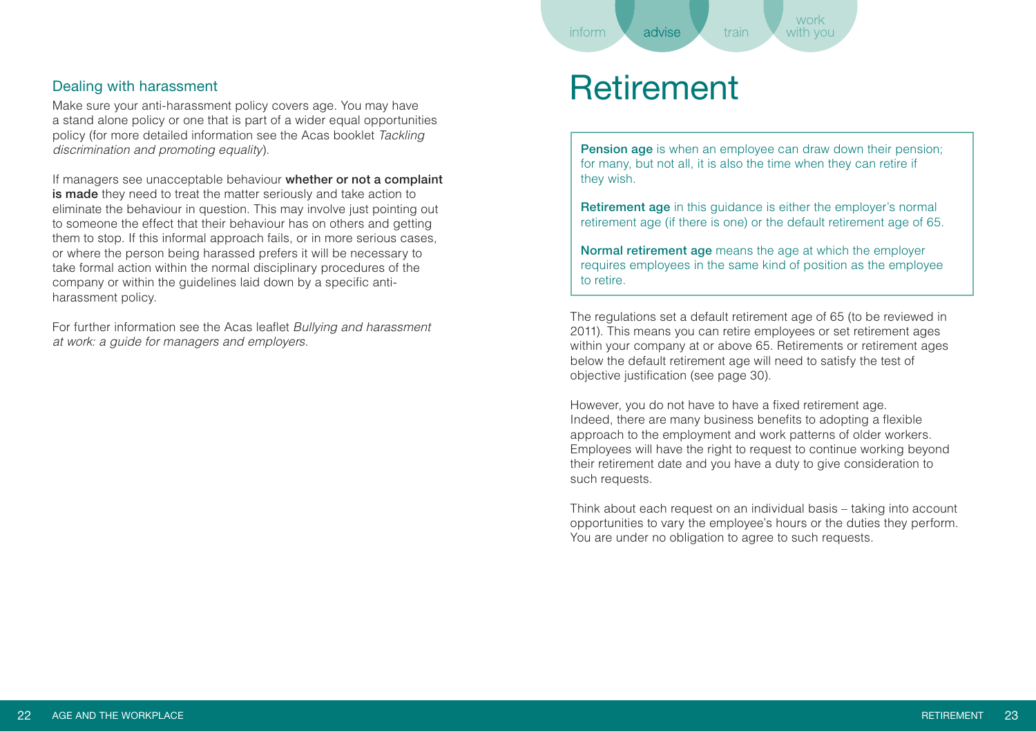advise train

#### work with you

#### Dealing with harassment

Make sure your anti-harassment policy covers age. You may have a stand alone policy or one that is part of a wider equal opportunities policy (for more detailed information see the Acas booklet *Tackling discrimination and promoting equality*).

If managers see unacceptable behaviour **whether or not a complaint is made** they need to treat the matter seriously and take action to eliminate the behaviour in question. This may involve just pointing out to someone the effect that their behaviour has on others and getting them to stop. If this informal approach fails, or in more serious cases, or where the person being harassed prefers it will be necessary to take formal action within the normal disciplinary procedures of the company or within the guidelines laid down by a specific antiharassment policy.

For further information see the Acas leaflet *Bullying and harassment at work: a guide for managers and employers*.

## **Retirement**

inform

**Pension age** is when an employee can draw down their pension; for many, but not all, it is also the time when they can retire if they wish.

**Retirement age** in this guidance is either the employer's normal retirement age (if there is one) or the default retirement age of 65.

**Normal retirement age** means the age at which the employer requires employees in the same kind of position as the employee to retire.

The regulations set a default retirement age of 65 (to be reviewed in 2011). This means you can retire employees or set retirement ages within your company at or above 65. Retirements or retirement ages below the default retirement age will need to satisfy the test of objective justification (see page 30).

However, you do not have to have a fixed retirement age. Indeed, there are many business benefits to adopting a flexible approach to the employment and work patterns of older workers. Employees will have the right to request to continue working beyond their retirement date and you have a duty to give consideration to such requests.

Think about each request on an individual basis – taking into account opportunities to vary the employee's hours or the duties they perform. You are under no obligation to agree to such requests.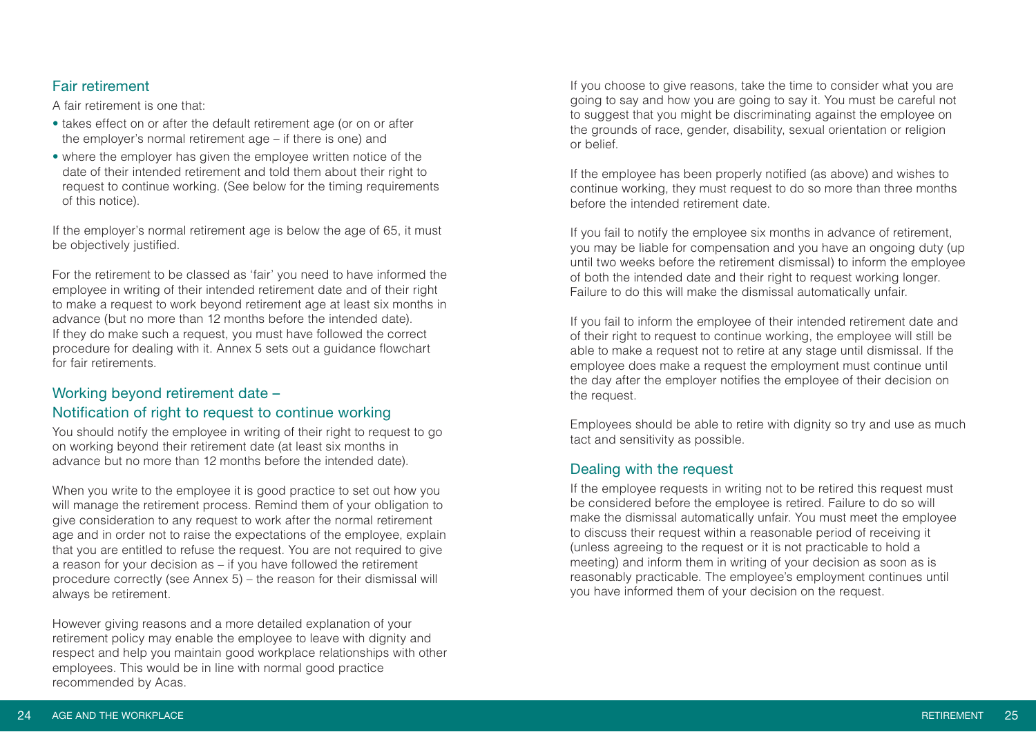#### Fair retirement

A fair retirement is one that:

- takes effect on or after the default retirement age (or on or after the employer's normal retirement age – if there is one) and
- where the employer has given the employee written notice of the date of their intended retirement and told them about their right to request to continue working. (See below for the timing requirements of this notice).

If the employer's normal retirement age is below the age of 65, it must be objectively justified.

For the retirement to be classed as 'fair' you need to have informed the employee in writing of their intended retirement date and of their right to make a request to work beyond retirement age at least six months in advance (but no more than 12 months before the intended date). If they do make such a request, you must have followed the correct procedure for dealing with it. Annex 5 sets out a guidance flowchart for fair retirements.

#### Working beyond retirement date – Notification of right to request to continue working

You should notify the employee in writing of their right to request to go on working beyond their retirement date (at least six months in advance but no more than 12 months before the intended date).

When you write to the employee it is good practice to set out how you will manage the retirement process. Remind them of your obligation to give consideration to any request to work after the normal retirement age and in order not to raise the expectations of the employee, explain that you are entitled to refuse the request. You are not required to give a reason for your decision as – if you have followed the retirement procedure correctly (see Annex 5) – the reason for their dismissal will always be retirement.

However giving reasons and a more detailed explanation of your retirement policy may enable the employee to leave with dignity and respect and help you maintain good workplace relationships with other employees. This would be in line with normal good practice recommended by Acas.

If you choose to give reasons, take the time to consider what you are going to say and how you are going to say it. You must be careful not to suggest that you might be discriminating against the employee on the grounds of race, gender, disability, sexual orientation or religion or belief.

If the employee has been properly notified (as above) and wishes to continue working, they must request to do so more than three months before the intended retirement date.

If you fail to notify the employee six months in advance of retirement, you may be liable for compensation and you have an ongoing duty (up until two weeks before the retirement dismissal) to inform the employee of both the intended date and their right to request working longer. Failure to do this will make the dismissal automatically unfair.

If you fail to inform the employee of their intended retirement date and of their right to request to continue working, the employee will still be able to make a request not to retire at any stage until dismissal. If the employee does make a request the employment must continue until the day after the employer notifies the employee of their decision on the request.

Employees should be able to retire with dignity so try and use as much tact and sensitivity as possible.

#### Dealing with the request

If the employee requests in writing not to be retired this request must be considered before the employee is retired. Failure to do so will make the dismissal automatically unfair. You must meet the employee to discuss their request within a reasonable period of receiving it (unless agreeing to the request or it is not practicable to hold a meeting) and inform them in writing of your decision as soon as is reasonably practicable. The employee's employment continues until you have informed them of your decision on the request.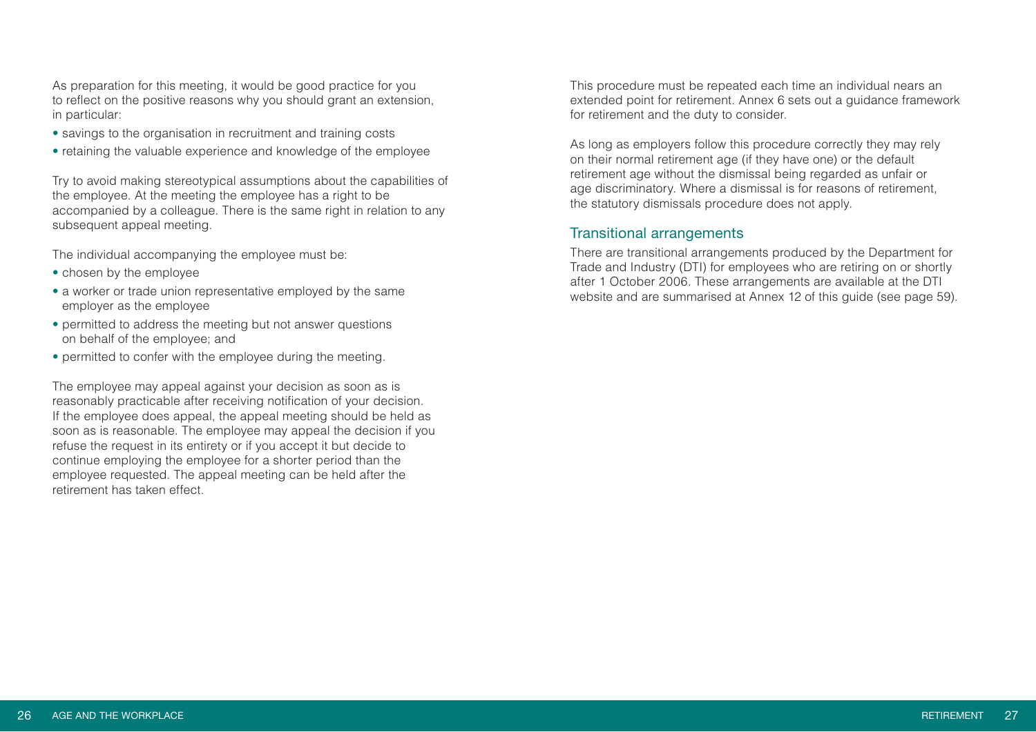As preparation for this meeting, it would be good practice for you to reflect on the positive reasons why you should grant an extension, in particular:

- savings to the organisation in recruitment and training costs
- retaining the valuable experience and knowledge of the employee

Try to avoid making stereotypical assumptions about the capabilities of the employee. At the meeting the employee has a right to be accompanied by a colleague. There is the same right in relation to any subsequent appeal meeting.

The individual accompanying the employee must be:

- chosen by the employee
- a worker or trade union representative employed by the same employer as the employee
- permitted to address the meeting but not answer questions on behalf of the employee; and
- permitted to confer with the employee during the meeting.

The employee may appeal against your decision as soon as is reasonably practicable after receiving notification of your decision. If the employee does appeal, the appeal meeting should be held as soon as is reasonable. The employee may appeal the decision if you refuse the request in its entirety or if you accept it but decide to continue employing the employee for a shorter period than the employee requested. The appeal meeting can be held after the retirement has taken effect.

This procedure must be repeated each time an individual nears an extended point for retirement. Annex 6 sets out a guidance framework for retirement and the duty to consider.

As long as employers follow this procedure correctly they may rely on their normal retirement age (if they have one) or the default retirement age without the dismissal being regarded as unfair or age discriminatory. Where a dismissal is for reasons of retirement, the statutory dismissals procedure does not apply.

#### Transitional arrangements

There are transitional arrangements produced by the Department for Trade and Industry (DTI) for employees who are retiring on or shortly after 1 October 2006. These arrangements are available at the DTI website and are summarised at Annex 12 of this guide (see page 59).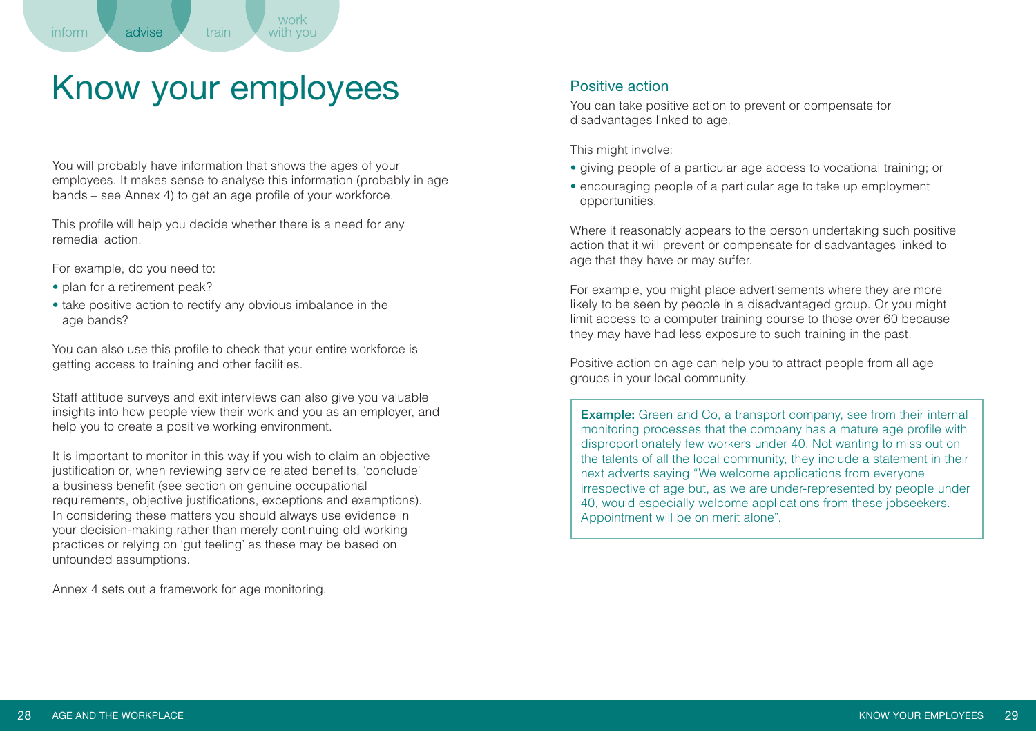# Know your employees<br>
You can take positive action to prevent or compensate for

train

You will probably have information that shows the ages of your employees. It makes sense to analyse this information (probably in age bands – see Annex 4) to get an age profile of your workforce.

This profile will help you decide whether there is a need for any remedial action.

For example, do you need to:

- plan for a retirement peak?
- take positive action to rectify any obvious imbalance in the age bands?

You can also use this profile to check that your entire workforce is getting access to training and other facilities.

Staff attitude surveys and exit interviews can also give you valuable insights into how people view their work and you as an employer, and help you to create a positive working environment.

It is important to monitor in this way if you wish to claim an objective justification or, when reviewing service related benefits, 'conclude' a business benefit (see section on genuine occupational requirements, objective justifications, exceptions and exemptions). In considering these matters you should always use evidence in your decision-making rather than merely continuing old working practices or relying on 'gut feeling' as these may be based on unfounded assumptions.

Annex 4 sets out a framework for age monitoring.

disadvantages linked to age.

This might involve:

- giving people of a particular age access to vocational training; or
- encouraging people of a particular age to take up employment opportunities.

Where it reasonably appears to the person undertaking such positive action that it will prevent or compensate for disadvantages linked to age that they have or may suffer.

For example, you might place advertisements where they are more likely to be seen by people in a disadvantaged group. Or you might limit access to a computer training course to those over 60 because they may have had less exposure to such training in the past.

Positive action on age can help you to attract people from all age groups in your local community.

**Example:** Green and Co, a transport company, see from their internal monitoring processes that the company has a mature age profile with disproportionately few workers under 40. Not wanting to miss out on the talents of all the local community, they include a statement in their next adverts saying "We welcome applications from everyone irrespective of age but, as we are under-represented by people under 40, would especially welcome applications from these jobseekers. Appointment will be on merit alone".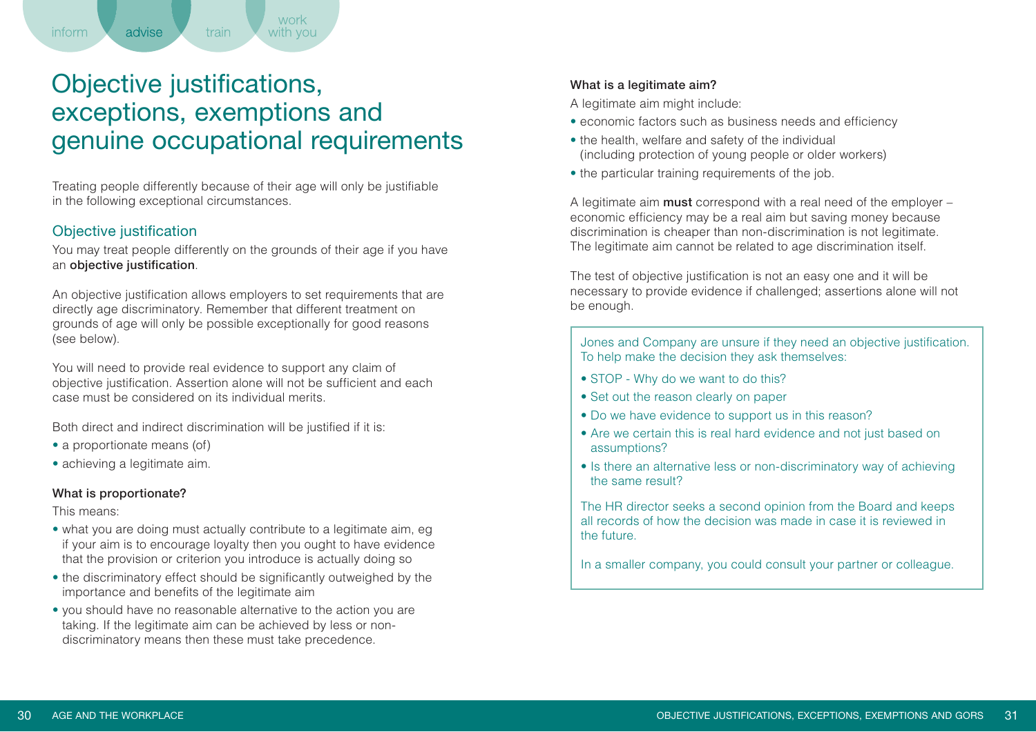### Objective justifications, exceptions, exemptions and genuine occupational requirements

Treating people differently because of their age will only be justifiable in the following exceptional circumstances.

#### Objective justification

You may treat people differently on the grounds of their age if you have an **objective justification**.

An objective justification allows employers to set requirements that are directly age discriminatory. Remember that different treatment on grounds of age will only be possible exceptionally for good reasons (see below).

You will need to provide real evidence to support any claim of objective justification. Assertion alone will not be sufficient and each case must be considered on its individual merits.

Both direct and indirect discrimination will be justified if it is:

- a proportionate means (of)
- achieving a legitimate aim.

#### **What is proportionate?**

This means:

- what you are doing must actually contribute to a legitimate aim, eg if your aim is to encourage loyalty then you ought to have evidence that the provision or criterion you introduce is actually doing so
- the discriminatory effect should be significantly outweighed by the importance and benefits of the legitimate aim
- you should have no reasonable alternative to the action you are taking. If the legitimate aim can be achieved by less or nondiscriminatory means then these must take precedence.

#### **What is a legitimate aim?**

A legitimate aim might include:

- economic factors such as business needs and efficiency
- the health, welfare and safety of the individual (including protection of young people or older workers)
- the particular training requirements of the job.

A legitimate aim **must** correspond with a real need of the employer – economic efficiency may be a real aim but saving money because discrimination is cheaper than non-discrimination is not legitimate. The legitimate aim cannot be related to age discrimination itself.

The test of objective justification is not an easy one and it will be necessary to provide evidence if challenged; assertions alone will not be enough.

Jones and Company are unsure if they need an objective justification. To help make the decision they ask themselves:

- STOP Why do we want to do this?
- Set out the reason clearly on paper
- Do we have evidence to support us in this reason?
- Are we certain this is real hard evidence and not just based on assumptions?
- Is there an alternative less or non-discriminatory way of achieving the same result?

The HR director seeks a second opinion from the Board and keeps all records of how the decision was made in case it is reviewed in the future.

In a smaller company, you could consult your partner or colleague.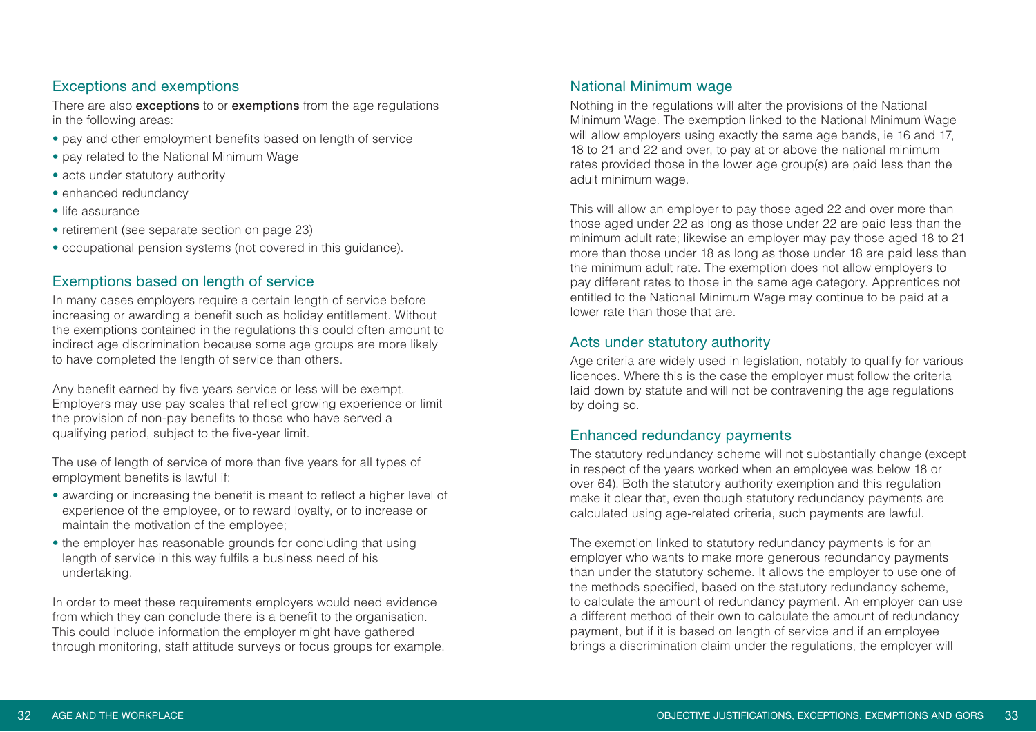#### Exceptions and exemptions

There are also **exceptions** to or **exemptions** from the age regulations in the following areas:

- pay and other employment benefits based on length of service
- pay related to the National Minimum Wage
- acts under statutory authority
- enhanced redundancy
- life assurance
- retirement (see separate section on page 23)
- occupational pension systems (not covered in this guidance).

#### Exemptions based on length of service

In many cases employers require a certain length of service before increasing or awarding a benefit such as holiday entitlement. Without the exemptions contained in the regulations this could often amount to indirect age discrimination because some age groups are more likely to have completed the length of service than others.

Any benefit earned by five years service or less will be exempt. Employers may use pay scales that reflect growing experience or limit the provision of non-pay benefits to those who have served a qualifying period, subject to the five-year limit.

The use of length of service of more than five years for all types of employment benefits is lawful if:

- awarding or increasing the benefit is meant to reflect a higher level of experience of the employee, or to reward loyalty, or to increase or maintain the motivation of the employee;
- the employer has reasonable grounds for concluding that using length of service in this way fulfils a business need of his undertaking.

In order to meet these requirements employers would need evidence from which they can conclude there is a benefit to the organisation. This could include information the employer might have gathered through monitoring, staff attitude surveys or focus groups for example.

#### National Minimum wage

Nothing in the regulations will alter the provisions of the National Minimum Wage. The exemption linked to the National Minimum Wage will allow employers using exactly the same age bands, ie 16 and 17. 18 to 21 and 22 and over, to pay at or above the national minimum rates provided those in the lower age group(s) are paid less than the adult minimum wage.

This will allow an employer to pay those aged 22 and over more than those aged under 22 as long as those under 22 are paid less than the minimum adult rate; likewise an employer may pay those aged 18 to 21 more than those under 18 as long as those under 18 are paid less than the minimum adult rate. The exemption does not allow employers to pay different rates to those in the same age category. Apprentices not entitled to the National Minimum Wage may continue to be paid at a lower rate than those that are.

#### Acts under statutory authority

Age criteria are widely used in legislation, notably to qualify for various licences. Where this is the case the employer must follow the criteria laid down by statute and will not be contravening the age regulations by doing so.

#### Enhanced redundancy payments

The statutory redundancy scheme will not substantially change (except in respect of the years worked when an employee was below 18 or over 64). Both the statutory authority exemption and this regulation make it clear that, even though statutory redundancy payments are calculated using age-related criteria, such payments are lawful.

The exemption linked to statutory redundancy payments is for an employer who wants to make more generous redundancy payments than under the statutory scheme. It allows the employer to use one of the methods specified, based on the statutory redundancy scheme, to calculate the amount of redundancy payment. An employer can use a different method of their own to calculate the amount of redundancy payment, but if it is based on length of service and if an employee brings a discrimination claim under the regulations, the employer will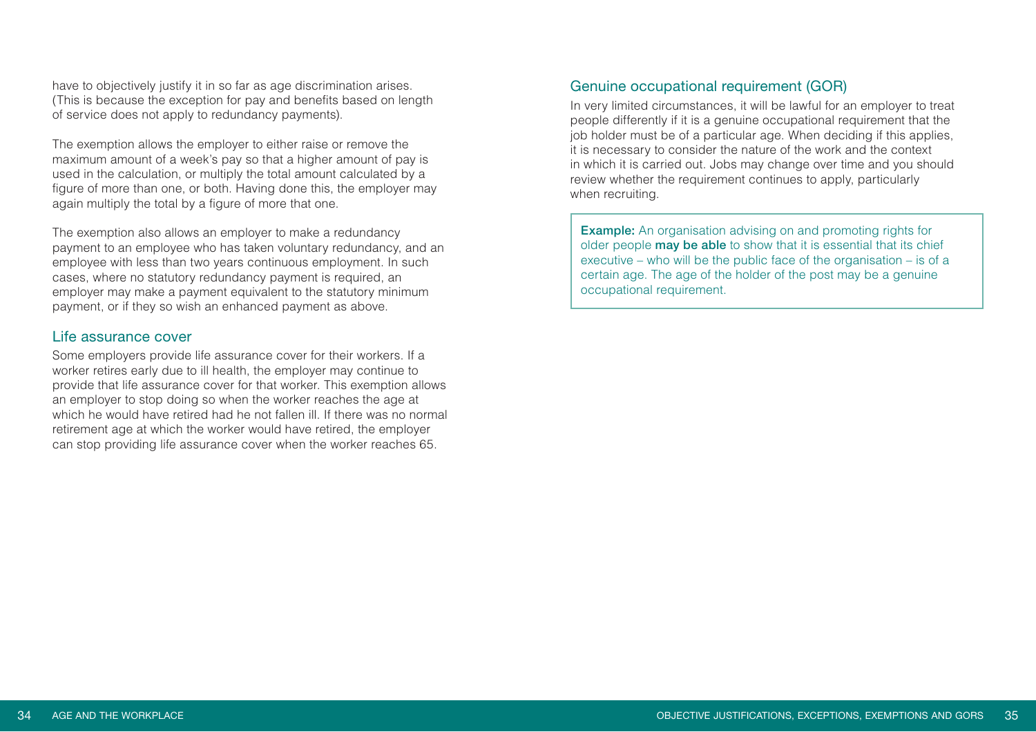have to objectively justify it in so far as age discrimination arises. (This is because the exception for pay and benefits based on length of service does not apply to redundancy payments).

The exemption allows the employer to either raise or remove the maximum amount of a week's pay so that a higher amount of pay is used in the calculation, or multiply the total amount calculated by a figure of more than one, or both. Having done this, the employer may again multiply the total by a figure of more that one.

The exemption also allows an employer to make a redundancy payment to an employee who has taken voluntary redundancy, and an employee with less than two years continuous employment. In such cases, where no statutory redundancy payment is required, an employer may make a payment equivalent to the statutory minimum payment, or if they so wish an enhanced payment as above.

#### Life assurance cover

Some employers provide life assurance cover for their workers. If a worker retires early due to ill health, the employer may continue to provide that life assurance cover for that worker. This exemption allows an employer to stop doing so when the worker reaches the age at which he would have retired had he not fallen ill. If there was no normal retirement age at which the worker would have retired, the employer can stop providing life assurance cover when the worker reaches 65.

#### Genuine occupational requirement (GOR)

In very limited circumstances, it will be lawful for an employer to treat people differently if it is a genuine occupational requirement that the job holder must be of a particular age. When deciding if this applies, it is necessary to consider the nature of the work and the context in which it is carried out. Jobs may change over time and you should review whether the requirement continues to apply, particularly when recruiting.

**Example:** An organisation advising on and promoting rights for older people **may be able** to show that it is essential that its chief executive – who will be the public face of the organisation – is of a certain age. The age of the holder of the post may be a genuine occupational requirement.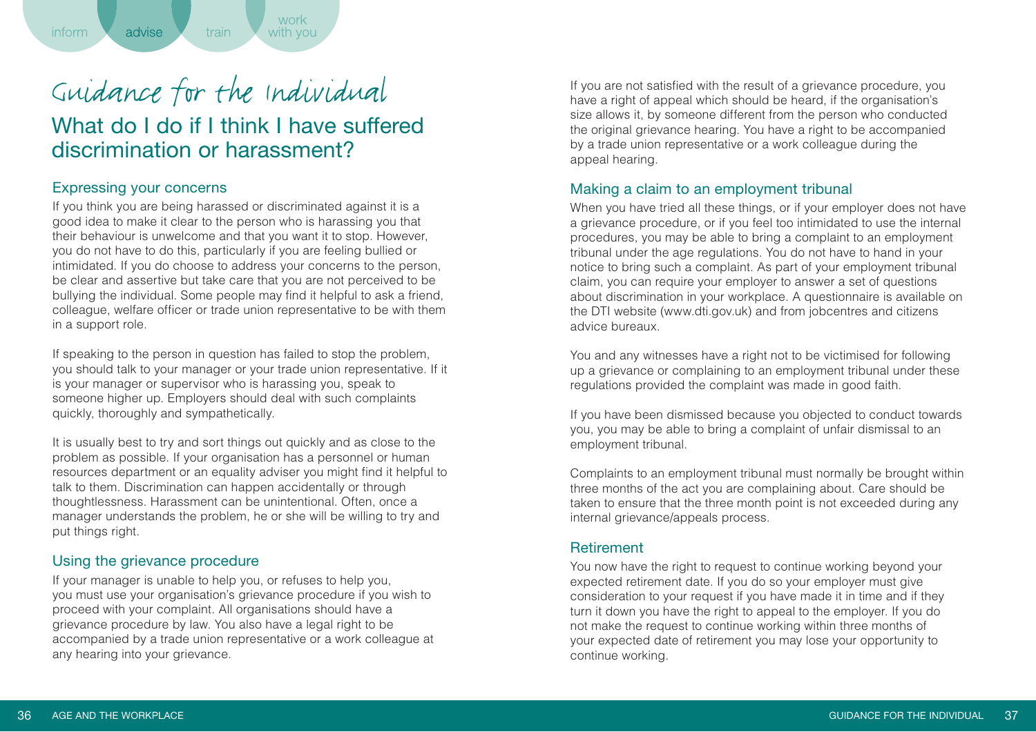inform

work with you

### Guidance for the Individual What do I do if I think I have suffereddiscrimination or harassment?

train

#### Expressing your concerns

If you think you are being harassed or discriminated against it is a good idea to make it clear to the person who is harassing you that their behaviour is unwelcome and that you want it to stop. However, you do not have to do this, particularly if you are feeling bullied or intimidated. If you do choose to address your concerns to the person, be clear and assertive but take care that you are not perceived to be bullying the individual. Some people may find it helpful to ask a friend, colleague, welfare officer or trade union representative to be with them in a support role.

If speaking to the person in question has failed to stop the problem, you should talk to your manager or your trade union representative. If it is your manager or supervisor who is harassing you, speak to someone higher up. Employers should deal with such complaints quickly, thoroughly and sympathetically.

It is usually best to try and sort things out quickly and as close to the problem as possible. If your organisation has a personnel or human resources department or an equality adviser you might find it helpful to talk to them. Discrimination can happen accidentally or through thoughtlessness. Harassment can be unintentional. Often, once a manager understands the problem, he or she will be willing to try and put things right.

### Using the grievance procedure

If your manager is unable to help you, or refuses to help you, you must use your organisation's grievance procedure if you wish to proceed with your complaint. All organisations should have a grievance procedure by law. You also have a legal right to be accompanied by a trade union representative or a work colleague at any hearing into your grievance.

If you are not satisfied with the result of a grievance procedure, you have a right of appeal which should be heard, if the organisation's size allows it, by someone different from the person who conducted the original grievance hearing. You have a right to be accompanied by a trade union representative or a work colleague during the appeal hearing.

#### Making a claim to an employment tribunal

When you have tried all these things, or if your employer does not have a grievance procedure, or if you feel too intimidated to use the internal procedures, you may be able to bring a complaint to an employment tribunal under the age regulations. You do not have to hand in your notice to bring such a complaint. As part of your employment tribunal claim, you can require your employer to answer a set of questions about discrimination in your workplace. A questionnaire is available on the DTI website (www.dti.gov.uk) and from jobcentres and citizens advice bureaux.

You and any witnesses have a right not to be victimised for following up a grievance or complaining to an employment tribunal under these regulations provided the complaint was made in good faith.

If you have been dismissed because you objected to conduct towards you, you may be able to bring a complaint of unfair dismissal to an employment tribunal.

Complaints to an employment tribunal must normally be brought within three months of the act you are complaining about. Care should be taken to ensure that the three month point is not exceeded during any internal grievance/appeals process.

### Retirement

You now have the right to request to continue working beyond your expected retirement date. If you do so your employer must give consideration to your request if you have made it in time and if they turn it down you have the right to appeal to the employer. If you do not make the request to continue working within three months of your expected date of retirement you may lose your opportunity to continue working.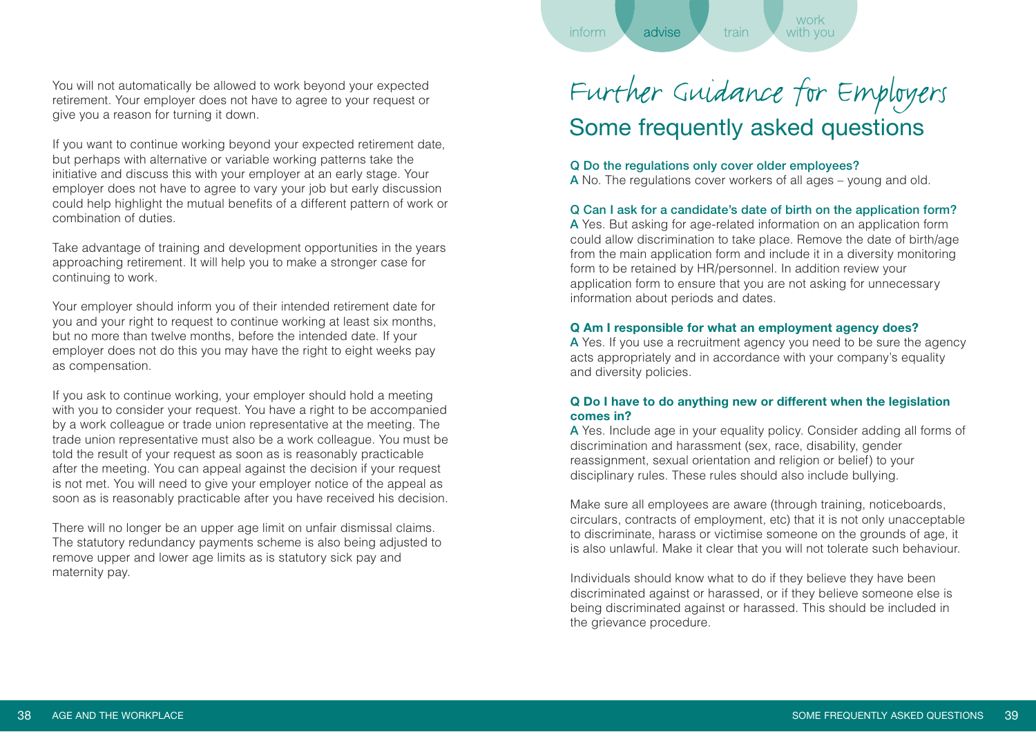You will not automatically be allowed to work beyond your expected retirement. Your employer does not have to agree to your request or give you a reason for turning it down.

If you want to continue working beyond your expected retirement date, but perhaps with alternative or variable working patterns take the initiative and discuss this with your employer at an early stage. Your employer does not have to agree to vary your job but early discussion could help highlight the mutual benefits of a different pattern of work or combination of duties.

Take advantage of training and development opportunities in the years approaching retirement. It will help you to make a stronger case for continuing to work.

Your employer should inform you of their intended retirement date for you and your right to request to continue working at least six months, but no more than twelve months, before the intended date. If your employer does not do this you may have the right to eight weeks pay as compensation.

If you ask to continue working, your employer should hold a meeting with you to consider your request. You have a right to be accompanied by a work colleague or trade union representative at the meeting. The trade union representative must also be a work colleague. You must be told the result of your request as soon as is reasonably practicable after the meeting. You can appeal against the decision if your request is not met. You will need to give your employer notice of the appeal as soon as is reasonably practicable after you have received his decision.

There will no longer be an upper age limit on unfair dismissal claims. The statutory redundancy payments scheme is also being adjusted to remove upper and lower age limits as is statutory sick pay and maternity pay.

## Further Guidance for Employers Some frequently asked questions

train

inform

advise

work

with you

**Q Do the regulations only cover older employees?**

**A** No. The regulations cover workers of all ages – young and old.

**Q Can I ask for a candidate's date of birth on the application form?**

**A** Yes. But asking for age-related information on an application form could allow discrimination to take place. Remove the date of birth/age from the main application form and include it in a diversity monitoring form to be retained by HR/personnel. In addition review your application form to ensure that you are not asking for unnecessary information about periods and dates.

#### **Q Am I responsible for what an employment agency does?**

**A** Yes. If you use a recruitment agency you need to be sure the agency acts appropriately and in accordance with your company's equality and diversity policies.

#### **Q Do I have to do anything new or different when the legislation comes in?**

**A** Yes. Include age in your equality policy. Consider adding all forms of discrimination and harassment (sex, race, disability, gender reassignment, sexual orientation and religion or belief) to your disciplinary rules. These rules should also include bullying.

Make sure all employees are aware (through training, noticeboards, circulars, contracts of employment, etc) that it is not only unacceptable to discriminate, harass or victimise someone on the grounds of age, it is also unlawful. Make it clear that you will not tolerate such behaviour.

Individuals should know what to do if they believe they have been discriminated against or harassed, or if they believe someone else is being discriminated against or harassed. This should be included in the grievance procedure.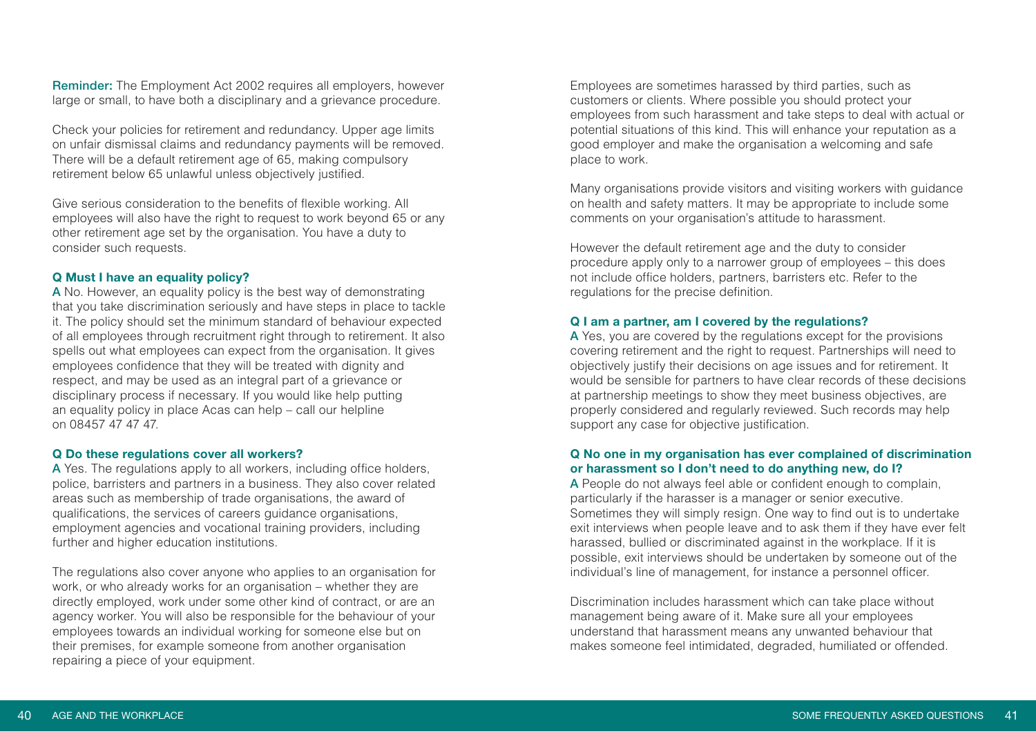**Reminder:** The Employment Act 2002 requires all employers, however large or small, to have both a disciplinary and a grievance procedure.

Check your policies for retirement and redundancy. Upper age limits on unfair dismissal claims and redundancy payments will be removed. There will be a default retirement age of 65, making compulsory retirement below 65 unlawful unless objectively justified.

Give serious consideration to the benefits of flexible working. All employees will also have the right to request to work beyond 65 or any other retirement age set by the organisation. You have a duty to consider such requests.

#### **Q Must I have an equality policy?**

**A** No. However, an equality policy is the best way of demonstrating that you take discrimination seriously and have steps in place to tackle it. The policy should set the minimum standard of behaviour expected of all employees through recruitment right through to retirement. It also spells out what employees can expect from the organisation. It gives employees confidence that they will be treated with dignity and respect, and may be used as an integral part of a grievance or disciplinary process if necessary. If you would like help putting an equality policy in place Acas can help – call our helpline on 08457 47 47 47.

#### **Q Do these regulations cover all workers?**

**A** Yes. The regulations apply to all workers, including office holders, police, barristers and partners in a business. They also cover related areas such as membership of trade organisations, the award of qualifications, the services of careers guidance organisations, employment agencies and vocational training providers, including further and higher education institutions.

The regulations also cover anyone who applies to an organisation for work, or who already works for an organisation – whether they are directly employed, work under some other kind of contract, or are an agency worker. You will also be responsible for the behaviour of your employees towards an individual working for someone else but on their premises, for example someone from another organisation repairing a piece of your equipment.

Employees are sometimes harassed by third parties, such as customers or clients. Where possible you should protect your employees from such harassment and take steps to deal with actual or potential situations of this kind. This will enhance your reputation as a good employer and make the organisation a welcoming and safe place to work.

Many organisations provide visitors and visiting workers with guidance on health and safety matters. It may be appropriate to include some comments on your organisation's attitude to harassment.

However the default retirement age and the duty to consider procedure apply only to a narrower group of employees – this does not include office holders, partners, barristers etc. Refer to the regulations for the precise definition.

#### **Q I am a partner, am I covered by the regulations?**

**A** Yes, you are covered by the regulations except for the provisions covering retirement and the right to request. Partnerships will need to objectively justify their decisions on age issues and for retirement. It would be sensible for partners to have clear records of these decisions at partnership meetings to show they meet business objectives, are properly considered and regularly reviewed. Such records may help support any case for objective justification.

#### **Q No one in my organisation has ever complained of discrimination or harassment so I don't need to do anything new, do I?**

**A** People do not always feel able or confident enough to complain, particularly if the harasser is a manager or senior executive. Sometimes they will simply resign. One way to find out is to undertake exit interviews when people leave and to ask them if they have ever felt harassed, bullied or discriminated against in the workplace. If it is possible, exit interviews should be undertaken by someone out of the individual's line of management, for instance a personnel officer.

Discrimination includes harassment which can take place without management being aware of it. Make sure all your employees understand that harassment means any unwanted behaviour that makes someone feel intimidated, degraded, humiliated or offended.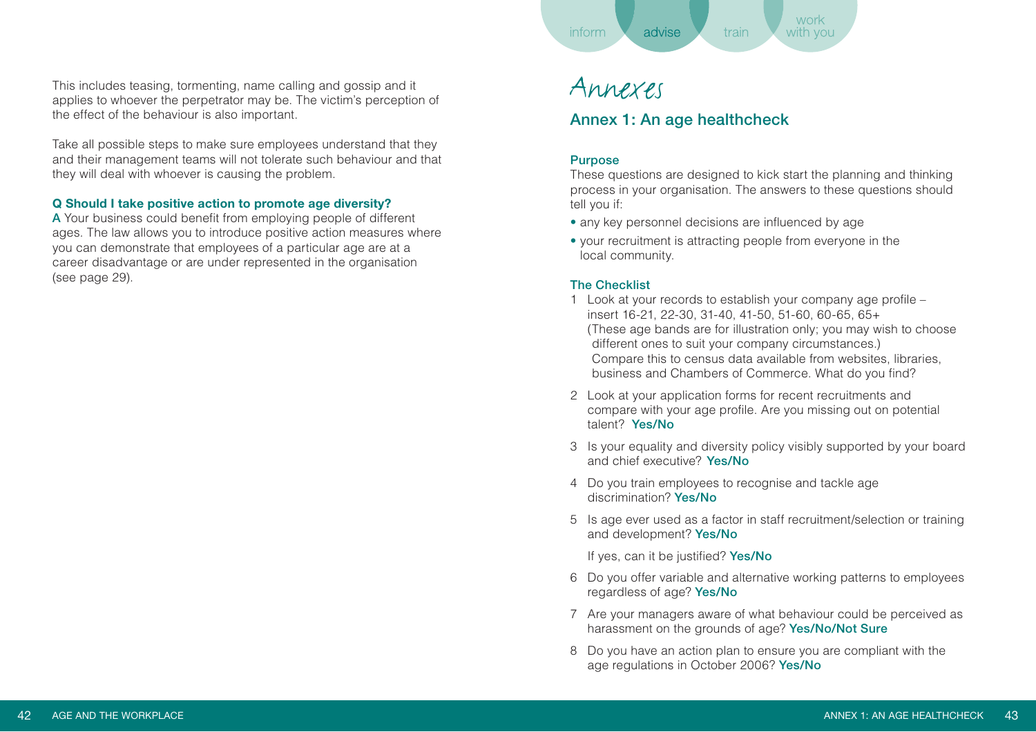advise train *inform* 

work with you

This includes teasing, tormenting, name calling and gossip and it applies to whoever the perpetrator may be. The victim's perception of the effect of the behaviour is also important.

Take all possible steps to make sure employees understand that they and their management teams will not tolerate such behaviour and that they will deal with whoever is causing the problem.

#### **Q Should I take positive action to promote age diversity?**

**A** Your business could benefit from employing people of different ages. The law allows you to introduce positive action measures where you can demonstrate that employees of a particular age are at a career disadvantage or are under represented in the organisation (see page 29).

### Annexes

#### **Annex 1: An age healthcheck**

#### **Purpose**

These questions are designed to kick start the planning and thinking process in your organisation. The answers to these questions should tell you if:

- any key personnel decisions are influenced by age
- your recruitment is attracting people from everyone in the local community.

#### **The Checklist**

- 1 Look at your records to establish your company age profile insert 16-21, 22-30, 31-40, 41-50, 51-60, 60-65, 65+ ( These age bands are for illustration only; you may wish to choose different ones to suit your company circumstances.) Compare this to census data available from websites, libraries, business and Chambers of Commerce. What do you find?
- 2 Look at your application forms for recent recruitments and compare with your age profile. Are you missing out on potential talent? **Yes/No**
- 3 Is your equality and diversity policy visibly supported by your board and chief executive? **Yes/No**
- 4 Do you train employees to recognise and tackle age discrimination? **Yes/No**
- 5 Is age ever used as a factor in staff recruitment/selection or training and development? **Yes/No**

If yes, can it be justified? **Yes/No**

- 6 Do you offer variable and alternative working patterns to employees regardless of age? **Yes/No**
- 7 Are your managers aware of what behaviour could be perceived as harassment on the grounds of age? **Yes/No/Not Sure**
- 8 Do you have an action plan to ensure you are compliant with the age regulations in October 2006? **Yes/No**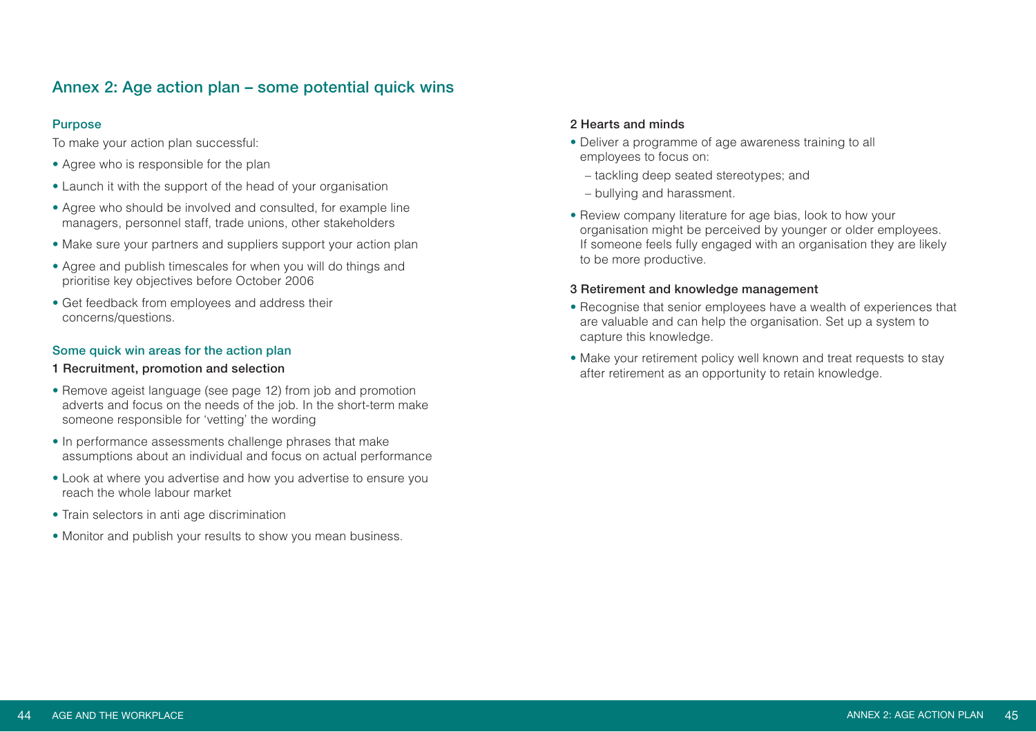#### **Annex 2: Age action plan – some potential quick wins**

#### **Purpose**

To make your action plan successful:

- Agree who is responsible for the plan
- Launch it with the support of the head of your organisation
- Agree who should be involved and consulted, for example line managers, personnel staff, trade unions, other stakeholders
- Make sure your partners and suppliers support your action plan
- Agree and publish timescales for when you will do things and prioritise key objectives before October 2006
- Get feedback from employees and address their concerns/questions.

#### **Some quick win areas for the action plan**

- **1 Recruitment, promotion and selection**
- Remove ageist language (see page 12) from job and promotion adverts and focus on the needs of the job. In the short-term make someone responsible for 'vetting' the wording
- In performance assessments challenge phrases that make assumptions about an individual and focus on actual performance
- Look at where you advertise and how you advertise to ensure you reach the whole labour market
- Train selectors in anti age discrimination
- Monitor and publish your results to show you mean business.

#### **2 Hearts and minds**

- Deliver a programme of age awareness training to all employees to focus on:
	- tackling deep seated stereotypes; and
	- bullying and harassment.
- Review company literature for age bias, look to how your organisation might be perceived by younger or older employees. If someone feels fully engaged with an organisation they are likely to be more productive.

#### **3 Retirement and knowledge management**

- Recognise that senior employees have a wealth of experiences that are valuable and can help the organisation. Set up a system to capture this knowledge.
- Make your retirement policy well known and treat requests to stay after retirement as an opportunity to retain knowledge.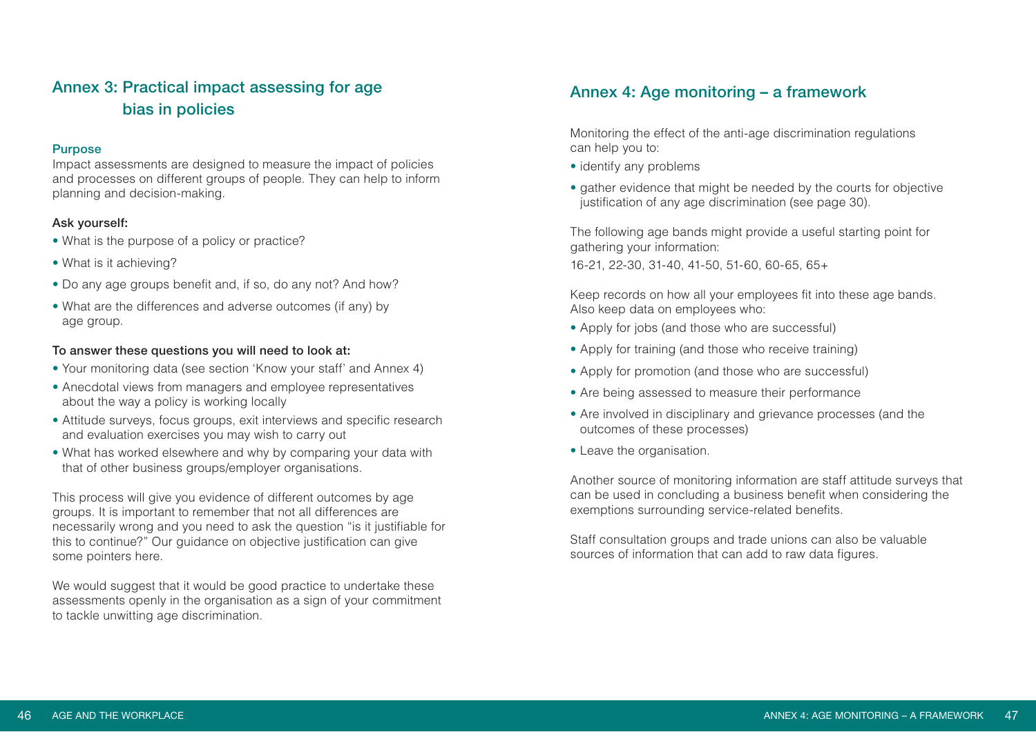### **Annex 3: Practical impact assessing for age bias in policies**

#### **Purpose**

Impact assessments are designed to measure the impact of policies and processes on different groups of people. They can help to inform planning and decision-making.

#### **Ask yourself:**

- What is the purpose of a policy or practice?
- What is it achieving?
- Do any age groups benefit and, if so, do any not? And how?
- What are the differences and adverse outcomes (if any) by age group.

#### **To answer these questions you will need to look at:**

- Your monitoring data (see section 'Know your staff' and Annex 4)
- Anecdotal views from managers and employee representatives about the way a policy is working locally
- Attitude surveys, focus groups, exit interviews and specific research and evaluation exercises you may wish to carry out
- What has worked elsewhere and why by comparing your data with that of other business groups/employer organisations.

This process will give you evidence of different outcomes by age groups. It is important to remember that not all differences are necessarily wrong and you need to ask the question "is it justifiable for this to continue?" Our guidance on objective justification can give some pointers here.

We would suggest that it would be good practice to undertake these assessments openly in the organisation as a sign of your commitment to tackle unwitting age discrimination.

#### **Annex 4: Age monitoring – a framework**

Monitoring the effect of the anti-age discrimination regulations can help you to:

- identify any problems
- gather evidence that might be needed by the courts for objective justification of any age discrimination (see page 30).

The following age bands might provide a useful starting point for gathering your information:

16-21, 22-30, 31-40, 41-50, 51-60, 60-65, 65+

Keep records on how all your employees fit into these age bands. Also keep data on employees who:

- Apply for jobs (and those who are successful)
- Apply for training (and those who receive training)
- Apply for promotion (and those who are successful)
- Are being assessed to measure their performance
- Are involved in disciplinary and grievance processes (and the outcomes of these processes)
- Leave the organisation.

Another source of monitoring information are staff attitude surveys that can be used in concluding a business benefit when considering the exemptions surrounding service-related benefits.

Staff consultation groups and trade unions can also be valuable sources of information that can add to raw data figures.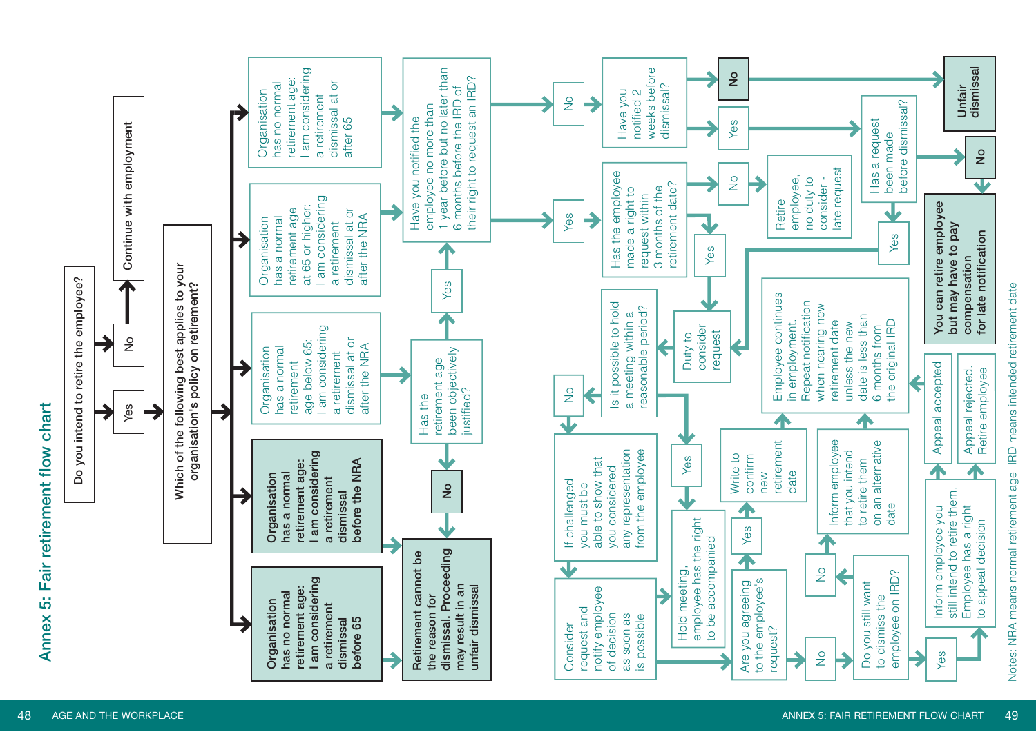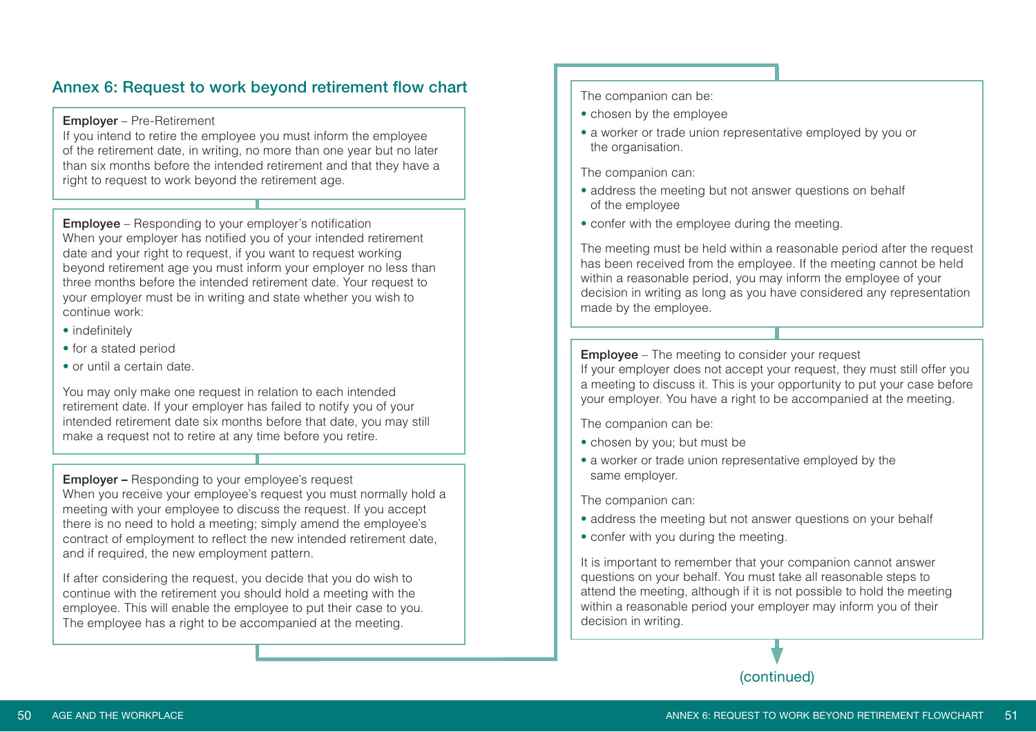#### **Annex 6: Request to work beyond retirement flow chart**

#### **Employer** – Pre-Retirement

If you intend to retire the employee you must inform the employee of the retirement date, in writing, no more than one year but no later than six months before the intended retirement and that they have a right to request to work beyond the retirement age.

**Employee** – Responding to your employer's notification When your employer has notified you of your intended retirement date and your right to request, if you want to request working beyond retirement age you must inform your employer no less than three months before the intended retirement date. Your request to your employer must be in writing and state whether you wish to continue work:

- indefinitely
- for a stated period
- or until a certain date.

You may only make one request in relation to each intended retirement date. If your employer has failed to notify you of your intended retirement date six months before that date, you may still make a request not to retire at any time before you retire.

**Employer –** Responding to your employee's request When you receive your employee's request you must normally hold a meeting with your employee to discuss the request. If you accept there is no need to hold a meeting; simply amend the employee's contract of employment to reflect the new intended retirement date, and if required, the new employment pattern.

If after considering the request, you decide that you do wish to continue with the retirement you should hold a meeting with the employee. This will enable the employee to put their case to you. The employee has a right to be accompanied at the meeting.

The companion can be:

- chosen by the employee
- a worker or trade union representative employed by you or the organisation.

The companion can:

- address the meeting but not answer questions on behalf of the employee
- confer with the employee during the meeting.

The meeting must be held within a reasonable period after the request has been received from the employee. If the meeting cannot be held within a reasonable period, you may inform the employee of your decision in writing as long as you have considered any representation made by the employee.

**Employee** – The meeting to consider your request

If your employer does not accept your request, they must still offer you a meeting to discuss it. This is your opportunity to put your case before your employer. You have a right to be accompanied at the meeting.

The companion can be:

- chosen by you; but must be
- a worker or trade union representative employed by the same employer.

The companion can:

- address the meeting but not answer questions on your behalf
- confer with you during the meeting.

It is important to remember that your companion cannot answer questions on your behalf. You must take all reasonable steps to attend the meeting, although if it is not possible to hold the meeting within a reasonable period your employer may inform you of their decision in writing.

### (continued)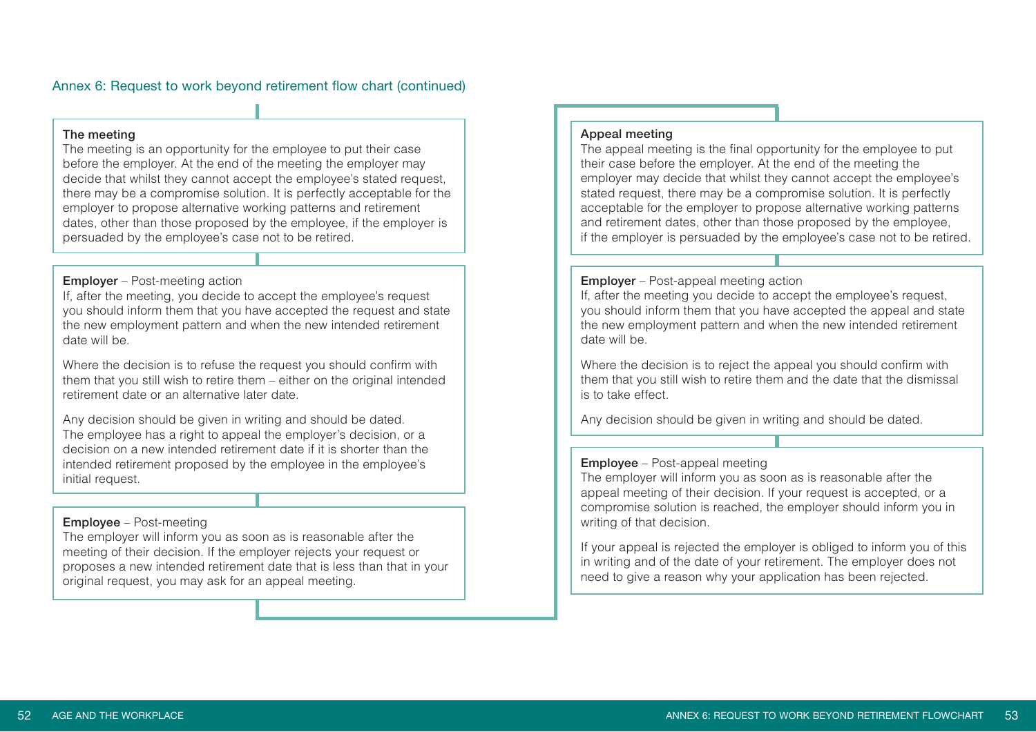#### Annex 6: Request to work beyond retirement flow chart (continued)

#### **The meeting**

The meeting is an opportunity for the employee to put their case before the employer. At the end of the meeting the employer may decide that whilst they cannot accept the employee's stated request, there may be a compromise solution. It is perfectly acceptable for the employer to propose alternative working patterns and retirement dates, other than those proposed by the employee, if the employer is persuaded by the employee's case not to be retired.

#### **Employer** – Post-meeting action

If, after the meeting, you decide to accept the employee's request you should inform them that you have accepted the request and state the new employment pattern and when the new intended retirement date will be.

Where the decision is to refuse the request you should confirm with them that you still wish to retire them – either on the original intended retirement date or an alternative later date.

Any decision should be given in writing and should be dated. The employee has a right to appeal the employer's decision, or a decision on a new intended retirement date if it is shorter than the intended retirement proposed by the employee in the employee's initial request.

#### **Employee** – Post-meeting

The employer will inform you as soon as is reasonable after the meeting of their decision. If the employer rejects your request or proposes a new intended retirement date that is less than that in your original request, you may ask for an appeal meeting.

#### **Appeal meeting**

The appeal meeting is the final opportunity for the employee to put their case before the employer. At the end of the meeting the employer may decide that whilst they cannot accept the employee's stated request, there may be a compromise solution. It is perfectly acceptable for the employer to propose alternative working patterns and retirement dates, other than those proposed by the employee, if the employer is persuaded by the employee's case not to be retired.

#### **Employer** – Post-appeal meeting action

If, after the meeting you decide to accept the employee's request, you should inform them that you have accepted the appeal and state the new employment pattern and when the new intended retirement date will be.

Where the decision is to reject the appeal you should confirm with them that you still wish to retire them and the date that the dismissal is to take effect.

Any decision should be given in writing and should be dated.

#### **Employee** – Post-appeal meeting

The employer will inform you as soon as is reasonable after the appeal meeting of their decision. If your request is accepted, or a compromise solution is reached, the employer should inform you in writing of that decision.

If your appeal is rejected the employer is obliged to inform you of this in writing and of the date of your retirement. The employer does not need to give a reason why your application has been rejected.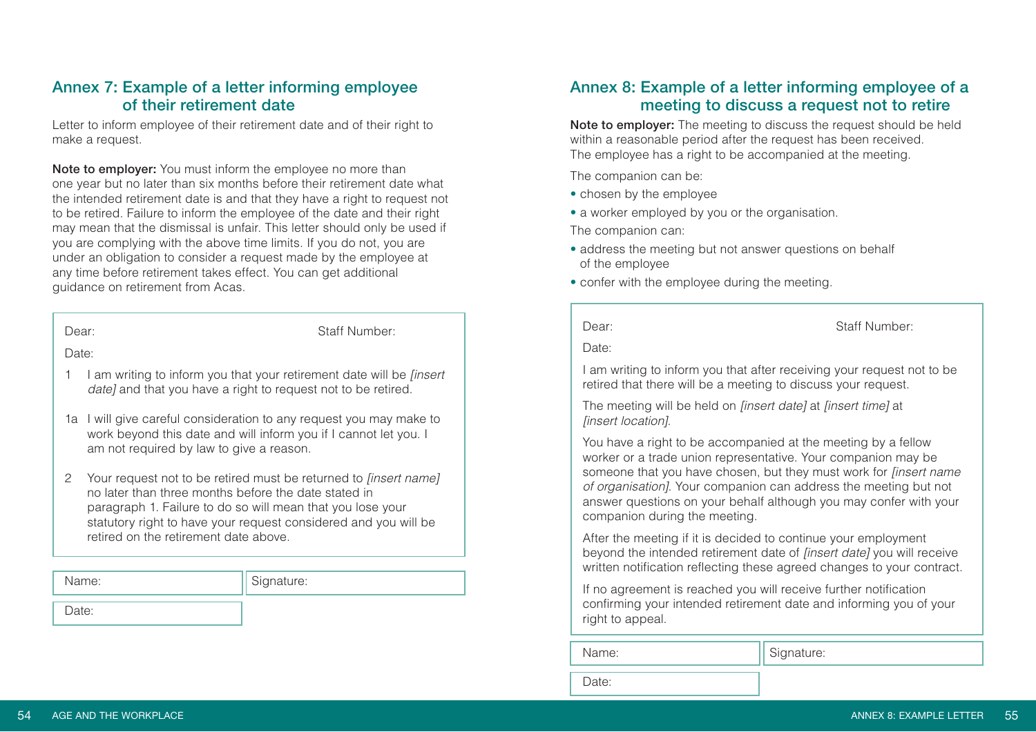#### **Annex 7: Example of a letter informing employee of their retirement date**

Letter to inform employee of their retirement date and of their right to make a request.

**Note to employer:** You must inform the employee no more than one year but no later than six months before their retirement date what the intended retirement date is and that they have a right to request not to be retired. Failure to inform the employee of the date and their right may mean that the dismissal is unfair. This letter should only be used if you are complying with the above time limits. If you do not, you are under an obligation to consider a request made by the employee at any time before retirement takes effect. You can get additional guidance on retirement from Acas.

Dear: Staff Number:

Date:

- 1 I am writing to inform you that your retirement date will be *[insert*  date] and that you have a right to request not to be retired.
- 1a I will give careful consideration to any request you may make to work beyond this date and will inform you if I cannot let you. I am not required by law to give a reason.
- 2 Your request not to be retired must be returned to *[insert name]*  no later than three months before the date stated in paragraph 1. Failure to do so will mean that you lose your statutory right to have your request considered and you will be retired on the retirement date above.

e: Signature: Signature:

Date:

#### **Annex 8: Example of a letter informing employee of a meeting to discuss a request not to retire**

**Note to employer:** The meeting to discuss the request should be held within a reasonable period after the request has been received. The employee has a right to be accompanied at the meeting.

The companion can be:

- chosen by the employee
- a worker employed by you or the organisation.

The companion can:

- address the meeting but not answer questions on behalf of the employee
- confer with the employee during the meeting.

Dear: Staff Number:

Date:

I am writing to inform you that after receiving your request not to be retired that there will be a meeting to discuss your request.

The meeting will be held on *[insert date]* at *[insert time]* at *[insert location]*.

You have a right to be accompanied at the meeting by a fellow worker or a trade union representative. Your companion may be someone that you have chosen, but they must work for *[insert name of organisation]*. Your companion can address the meeting but not answer questions on your behalf although you may confer with your companion during the meeting.

After the meeting if it is decided to continue your employment beyond the intended retirement date of *[insert date]* you will receive written notification reflecting these agreed changes to your contract.

If no agreement is reached you will receive further notification confirming your intended retirement date and informing you of your right to appeal.

Name: Signature: Signature:

Date: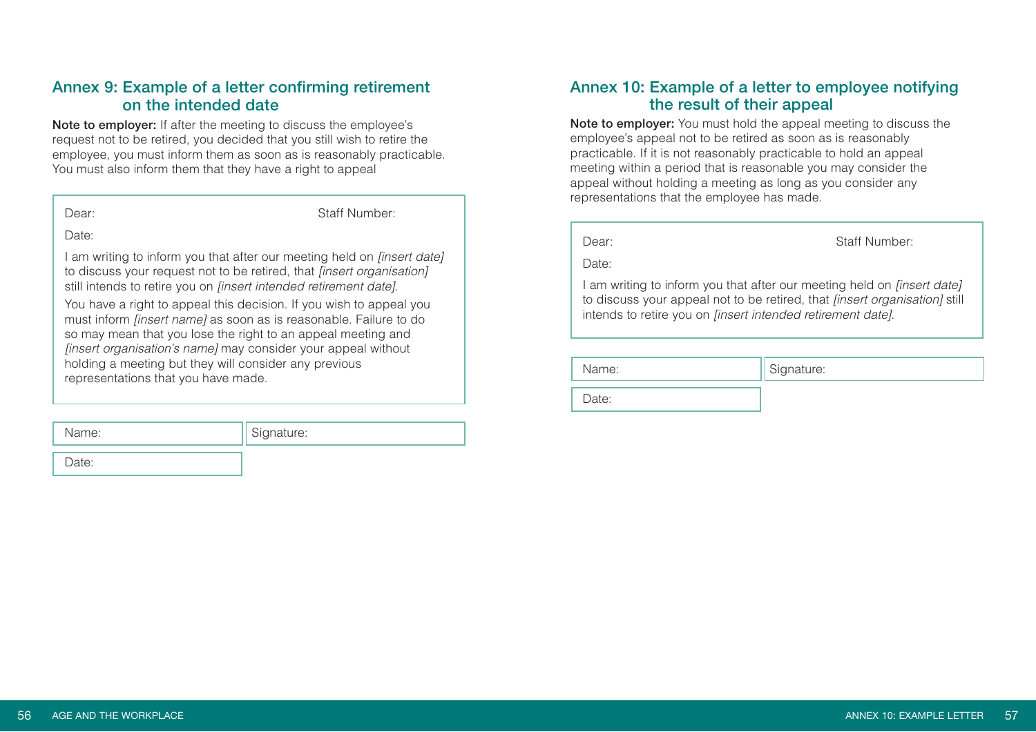#### **Annex 9: Example of a letter confirming retirement on the intended date**

**Note to employer:** If after the meeting to discuss the employee's request not to be retired, you decided that you still wish to retire the employee, you must inform them as soon as is reasonably practicable. You must also inform them that they have a right to appeal

Dear: Staff Number:

Date:

I am writing to inform you that after our meeting held on *[insert date]* to discuss your request not to be retired, that *[insert organisation]* still intends to retire you on *[insert intended retirement date]*.

You have a right to appeal this decision. If you wish to appeal you must inform *[insert name]* as soon as is reasonable. Failure to do so may mean that you lose the right to an appeal meeting and *[insert organisation's name]* may consider your appeal without holding a meeting but they will consider any previous representations that you have made.

Name: Signature: Signature: Date:

#### **Annex 10: Example of a letter to employee notifying the result of their appeal**

**Note to employer:** You must hold the appeal meeting to discuss the employee's appeal not to be retired as soon as is reasonably practicable. If it is not reasonably practicable to hold an appeal meeting within a period that is reasonable you may consider the appeal without holding a meeting as long as you consider any representations that the employee has made.

Dear: Staff Number:

Date:

I am writing to inform you that after our meeting held on *[insert date]* to discuss your appeal not to be retired, that *[insert organisation]* still intends to retire you on *[insert intended retirement date]*.

| Name: | Signature: |
|-------|------------|
| Date: |            |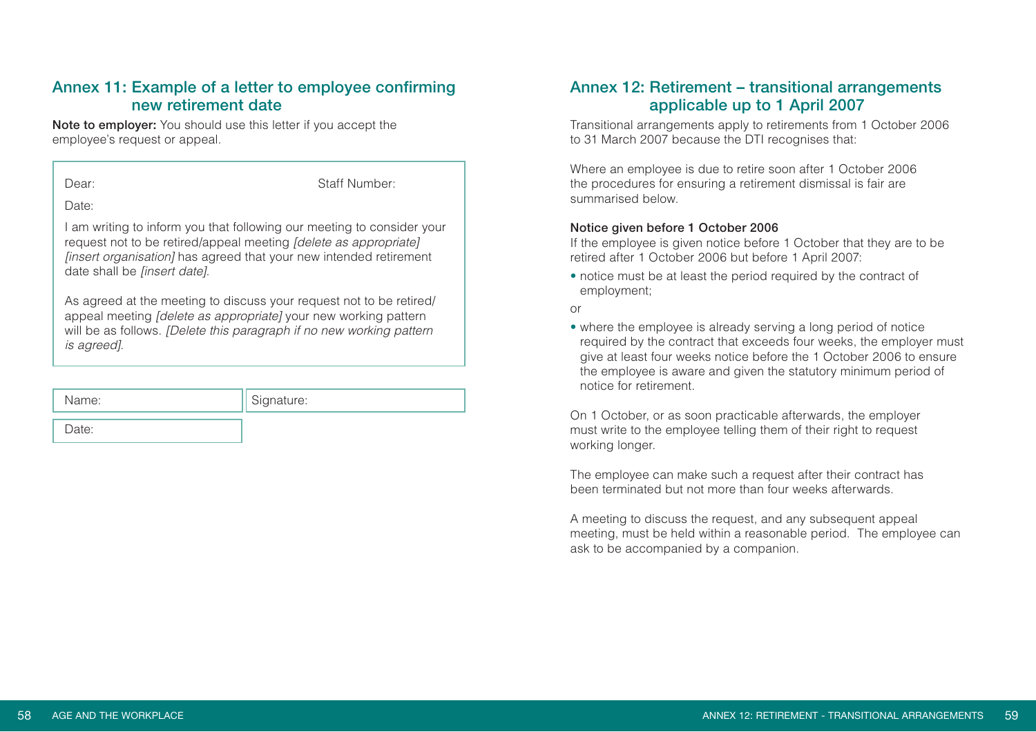#### **Annex 11: Example of a letter to employee confirming new retirement date**

**Note to employer:** You should use this letter if you accept the employee's request or appeal.

Dear: Staff Number:

Date:

I am writing to inform you that following our meeting to consider your request not to be retired/appeal meeting *[delete as appropriate] [insert organisation]* has agreed that your new intended retirement date shall be *[insert date]*.

As agreed at the meeting to discuss your request not to be retired/ appeal meeting *[delete as appropriate]* your new working pattern will be as follows. *[Delete this paragraph if no new working pattern is agreed]*.

| Name: | Signature: |
|-------|------------|
| Date: |            |

#### **Annex 12: Retirement – transitional arrangements applicable up to 1 April 2007**

Transitional arrangements apply to retirements from 1 October 2006 to 31 March 2007 because the DTI recognises that:

Where an employee is due to retire soon after 1 October 2006 the procedures for ensuring a retirement dismissal is fair are summarised below.

#### **Notice given before 1 October 2006**

If the employee is given notice before 1 October that they are to be retired after 1 October 2006 but before 1 April 2007:

• notice must be at least the period required by the contract of employment;

or

• where the employee is already serving a long period of notice required by the contract that exceeds four weeks, the employer must give at least four weeks notice before the 1 October 2006 to ensure the employee is aware and given the statutory minimum period of notice for retirement.

On 1 October, or as soon practicable afterwards, the employer must write to the employee telling them of their right to request working longer.

The employee can make such a request after their contract has been terminated but not more than four weeks afterwards.

A meeting to discuss the request, and any subsequent appeal meeting, must be held within a reasonable period. The employee can ask to be accompanied by a companion.